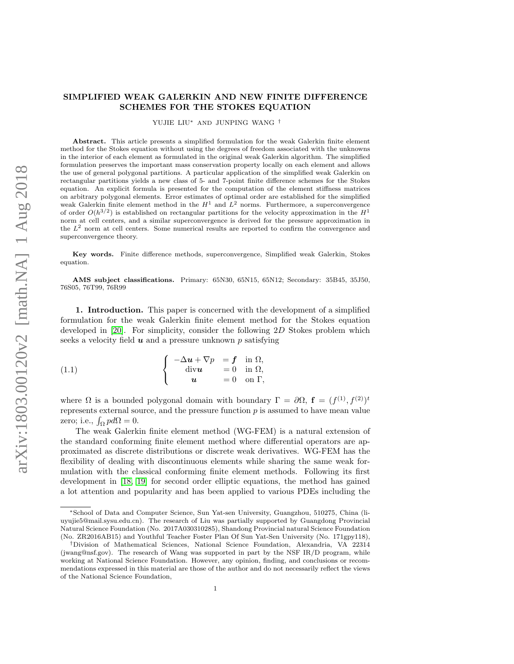## SIMPLIFIED WEAK GALERKIN AND NEW FINITE DIFFERENCE SCHEMES FOR THE STOKES EQUATION

YUJIE LIU<sup>∗</sup> AND JUNPING WANG †

Abstract. This article presents a simplified formulation for the weak Galerkin finite element method for the Stokes equation without using the degrees of freedom associated with the unknowns in the interior of each element as formulated in the original weak Galerkin algorithm. The simplified formulation preserves the important mass conservation property locally on each element and allows the use of general polygonal partitions. A particular application of the simplified weak Galerkin on rectangular partitions yields a new class of 5- and 7-point finite difference schemes for the Stokes equation. An explicit formula is presented for the computation of the element stiffness matrices on arbitrary polygonal elements. Error estimates of optimal order are established for the simplified weak Galerkin finite element method in the  $H^1$  and  $L^2$  norms. Furthermore, a superconvergence of order  $O(h^{3/2})$  is established on rectangular partitions for the velocity approximation in the  $H<sup>1</sup>$ norm at cell centers, and a similar superconvergence is derived for the pressure approximation in the  $L<sup>2</sup>$  norm at cell centers. Some numerical results are reported to confirm the convergence and superconvergence theory.

Key words. Finite difference methods, superconvergence, Simplified weak Galerkin, Stokes equation.

AMS subject classifications. Primary: 65N30, 65N15, 65N12; Secondary: 35B45, 35J50, 76S05, 76T99, 76R99

1. Introduction. This paper is concerned with the development of a simplified formulation for the weak Galerkin finite element method for the Stokes equation developed in [\[20\]](#page-31-0). For simplicity, consider the following 2D Stokes problem which seeks a velocity field  $u$  and a pressure unknown  $p$  satisfying

<span id="page-0-0"></span>(1.1) 
$$
\begin{cases}\n-\Delta u + \nabla p = f \text{ in } \Omega, \\
\text{div} u = 0 \text{ in } \Omega, \\
u = 0 \text{ on } \Gamma,\n\end{cases}
$$

where  $\Omega$  is a bounded polygonal domain with boundary  $\Gamma = \partial \Omega$ ,  $\mathbf{f} = (f^{(1)}, f^{(2)})^t$ represents external source, and the pressure function  $p$  is assumed to have mean value zero; i.e.,  $\int_{\Omega} pd\Omega = 0$ .

The weak Galerkin finite element method (WG-FEM) is a natural extension of the standard conforming finite element method where differential operators are approximated as discrete distributions or discrete weak derivatives. WG-FEM has the flexibility of dealing with discontinuous elements while sharing the same weak formulation with the classical conforming finite element methods. Following its first development in [\[18,](#page-31-1) [19\]](#page-31-2) for second order elliptic equations, the method has gained a lot attention and popularity and has been applied to various PDEs including the

<sup>∗</sup>School of Data and Computer Science, Sun Yat-sen University, Guangzhou, 510275, China (liuyujie5@mail.sysu.edu.cn). The research of Liu was partially supported by Guangdong Provincial Natural Science Foundation (No. 2017A030310285), Shandong Provincial natural Science Foundation (No. ZR2016AB15) and Youthful Teacher Foster Plan Of Sun Yat-Sen University (No. 171gpy118),

<sup>†</sup>Division of Mathematical Sciences, National Science Foundation, Alexandria, VA 22314 (jwang@nsf.gov). The research of Wang was supported in part by the NSF IR/D program, while working at National Science Foundation. However, any opinion, finding, and conclusions or recommendations expressed in this material are those of the author and do not necessarily reflect the views of the National Science Foundation,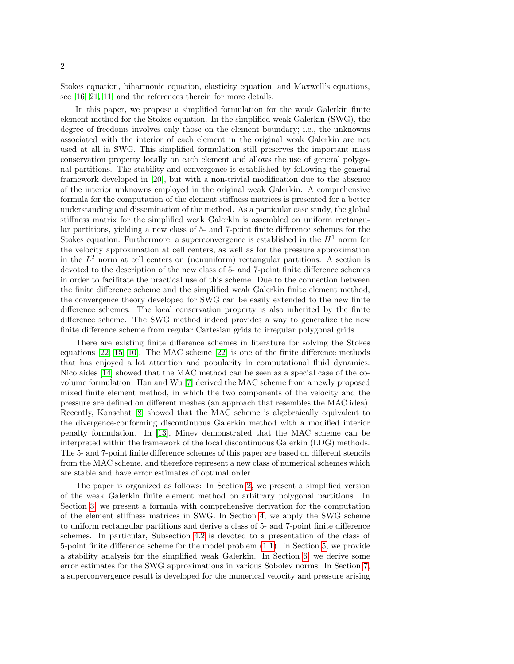Stokes equation, biharmonic equation, elasticity equation, and Maxwell's equations, see [\[16,](#page-31-3) [21,](#page-31-4) [11\]](#page-31-5) and the references therein for more details.

In this paper, we propose a simplified formulation for the weak Galerkin finite element method for the Stokes equation. In the simplified weak Galerkin (SWG), the degree of freedoms involves only those on the element boundary; i.e., the unknowns associated with the interior of each element in the original weak Galerkin are not used at all in SWG. This simplified formulation still preserves the important mass conservation property locally on each element and allows the use of general polygonal partitions. The stability and convergence is established by following the general framework developed in [\[20\]](#page-31-0), but with a non-trivial modification due to the absence of the interior unknowns employed in the original weak Galerkin. A comprehensive formula for the computation of the element stiffness matrices is presented for a better understanding and dissemination of the method. As a particular case study, the global stiffness matrix for the simplified weak Galerkin is assembled on uniform rectangular partitions, yielding a new class of 5- and 7-point finite difference schemes for the Stokes equation. Furthermore, a superconvergence is established in the  $H<sup>1</sup>$  norm for the velocity approximation at cell centers, as well as for the pressure approximation in the  $L^2$  norm at cell centers on (nonuniform) rectangular partitions. A section is devoted to the description of the new class of 5- and 7-point finite difference schemes in order to facilitate the practical use of this scheme. Due to the connection between the finite difference scheme and the simplified weak Galerkin finite element method, the convergence theory developed for SWG can be easily extended to the new finite difference schemes. The local conservation property is also inherited by the finite difference scheme. The SWG method indeed provides a way to generalize the new finite difference scheme from regular Cartesian grids to irregular polygonal grids.

There are existing finite difference schemes in literature for solving the Stokes equations [\[22,](#page-31-6) [15,](#page-31-7) [10\]](#page-31-8). The MAC scheme [\[22\]](#page-31-6) is one of the finite difference methods that has enjoyed a lot attention and popularity in computational fluid dynamics. Nicolaides [\[14\]](#page-31-9) showed that the MAC method can be seen as a special case of the covolume formulation. Han and Wu [\[7\]](#page-31-10) derived the MAC scheme from a newly proposed mixed finite element method, in which the two components of the velocity and the pressure are defined on different meshes (an approach that resembles the MAC idea). Recently, Kanschat [\[8\]](#page-31-11) showed that the MAC scheme is algebraically equivalent to the divergence-conforming discontinuous Galerkin method with a modified interior penalty formulation. In [\[13\]](#page-31-12), Minev demonstrated that the MAC scheme can be interpreted within the framework of the local discontinuous Galerkin (LDG) methods. The 5- and 7-point finite difference schemes of this paper are based on different stencils from the MAC scheme, and therefore represent a new class of numerical schemes which are stable and have error estimates of optimal order.

The paper is organized as follows: In Section [2,](#page-2-0) we present a simplified version of the weak Galerkin finite element method on arbitrary polygonal partitions. In Section [3,](#page-3-0) we present a formula with comprehensive derivation for the computation of the element stiffness matrices in SWG. In Section [4,](#page-8-0) we apply the SWG scheme to uniform rectangular partitions and derive a class of 5- and 7-point finite difference schemes. In particular, Subsection [4.2](#page-13-0) is devoted to a presentation of the class of 5-point finite difference scheme for the model problem [\(1.1\)](#page-0-0). In Section [5,](#page-14-0) we provide a stability analysis for the simplified weak Galerkin. In Section [6,](#page-17-0) we derive some error estimates for the SWG approximations in various Sobolev norms. In Section [7,](#page-24-0) a superconvergence result is developed for the numerical velocity and pressure arising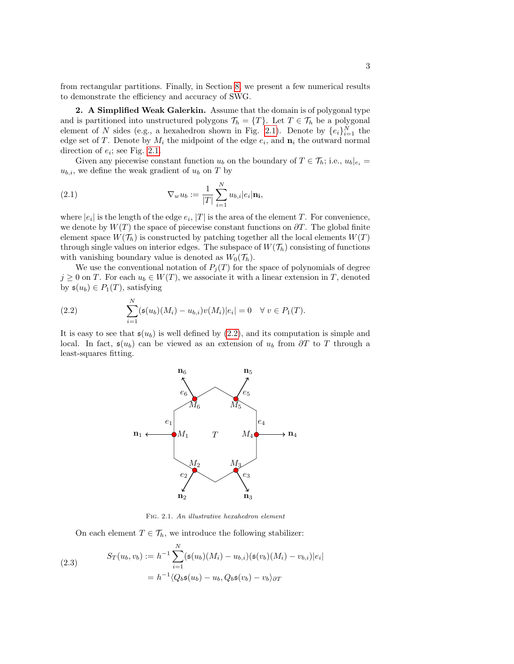from rectangular partitions. Finally, in Section [8,](#page-27-0) we present a few numerical results to demonstrate the efficiency and accuracy of SWG.

<span id="page-2-0"></span>2. A Simplified Weak Galerkin. Assume that the domain is of polygonal type and is partitioned into unstructured polygons  $\mathcal{T}_h = \{T\}$ . Let  $T \in \mathcal{T}_h$  be a polygonal element of N sides (e.g., a hexahedron shown in Fig. [2.1\)](#page-2-1). Denote by  $\{e_i\}_{i=1}^N$  the edge set of T. Denote by  $M_i$  the midpoint of the edge  $e_i$ , and  $\mathbf{n}_i$  the outward normal direction of  $e_i$ ; see Fig. [2.1.](#page-2-1)

Given any piecewise constant function  $u_b$  on the boundary of  $T \in \mathcal{T}_h$ ; i.e.,  $u_b|_{e_i} =$  $u_{b,i}$ , we define the weak gradient of  $u_b$  on T by

<span id="page-2-3"></span>(2.1) 
$$
\nabla_w u_b := \frac{1}{|T|} \sum_{i=1}^N u_{b,i} |e_i| \mathbf{n_i},
$$

where  $|e_i|$  is the length of the edge  $e_i$ ,  $|T|$  is the area of the element T. For convenience, we denote by  $W(T)$  the space of piecewise constant functions on  $\partial T$ . The global finite element space  $W(\mathcal{T}_h)$  is constructed by patching together all the local elements  $W(T)$ through single values on interior edges. The subspace of  $W(\mathcal{T}_h)$  consisting of functions with vanishing boundary value is denoted as  $W_0(\mathcal{T}_h)$ .

We use the conventional notation of  $P_i(T)$  for the space of polynomials of degree  $j \geq 0$  on T. For each  $u_b \in W(T)$ , we associate it with a linear extension in T, denoted by  $\mathfrak{s}(u_b) \in P_1(T)$ , satisfying

(2.2) 
$$
\sum_{i=1}^{N} (\mathfrak{s}(u_b)(M_i) - u_{b,i})v(M_i)|e_i| = 0 \quad \forall \ v \in P_1(T).
$$

It is easy to see that  $\mathfrak{s}(u_b)$  is well defined by  $(2.2)$ , and its computation is simple and local. In fact,  $\mathfrak{s}(u_b)$  can be viewed as an extension of  $u_b$  from  $\partial T$  to T through a least-squares fitting.

<span id="page-2-2"></span>

<span id="page-2-1"></span>Fig. 2.1. An illustrative hexahedron element

On each element  $T \in \mathcal{T}_h$ , we introduce the following stabilizer:

<span id="page-2-4"></span>(2.3) 
$$
S_T(u_b, v_b) := h^{-1} \sum_{i=1}^{N} (\mathfrak{s}(u_b)(M_i) - u_{b,i})(\mathfrak{s}(v_b)(M_i) - v_{b,i})|e_i|
$$

$$
= h^{-1} \langle Q_b \mathfrak{s}(u_b) - u_b, Q_b \mathfrak{s}(v_b) - v_b \rangle_{\partial T}
$$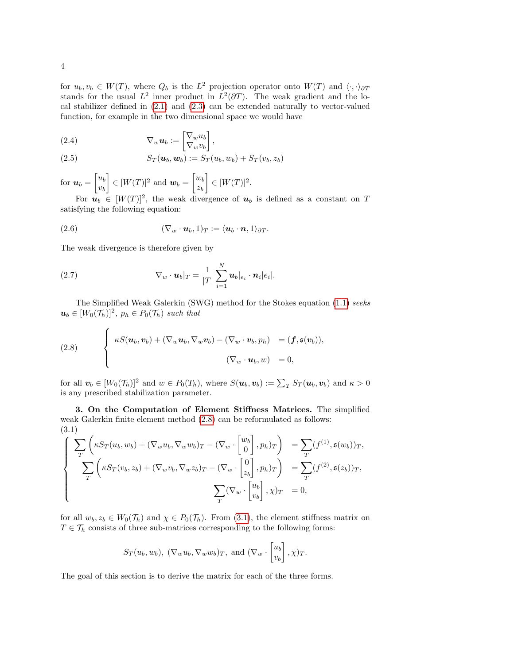for  $u_b, v_b \in W(T)$ , where  $Q_b$  is the  $L^2$  projection operator onto  $W(T)$  and  $\langle \cdot, \cdot \rangle_{\partial T}$ stands for the usual  $L^2$  inner product in  $L^2(\partial T)$ . The weak gradient and the local stabilizer defined in [\(2.1\)](#page-2-3) and [\(2.3\)](#page-2-4) can be extended naturally to vector-valued function, for example in the two dimensional space we would have

(2.4) 
$$
\nabla_w \mathbf{u}_b := \begin{bmatrix} \nabla_w u_b \\ \nabla_w v_b \end{bmatrix},
$$

(2.5) 
$$
S_T(\boldsymbol{u}_b,\boldsymbol{w}_b) := S_T(u_b,w_b) + S_T(v_b,z_b)
$$

for  $u_b = \begin{bmatrix} u_b \\ v_b \end{bmatrix}$  $v_b$  $\Big] \in [W(T)]^2$  and  $\boldsymbol{w}_b = \begin{bmatrix} w_b \\ z_a \end{bmatrix}$  $z_b$  $\Big] \in [W(T)]^2.$ 

For  $u_b \in [W(T)]^2$ , the weak divergence of  $u_b$  is defined as a constant on T satisfying the following equation:

(2.6) 
$$
(\nabla_w \cdot \boldsymbol{u}_b, 1)_T := \langle \boldsymbol{u}_b \cdot \boldsymbol{n}, 1 \rangle_{\partial T}.
$$

The weak divergence is therefore given by

<span id="page-3-1"></span> $\overline{ }$ 

(2.7) 
$$
\nabla_w \cdot \boldsymbol{u}_b|_T = \frac{1}{|T|} \sum_{i=1}^N \boldsymbol{u}_b|_{e_i} \cdot \boldsymbol{n}_i|e_i|.
$$

The Simplified Weak Galerkin (SWG) method for the Stokes equation [\(1.1\)](#page-0-0) seeks  $u_b \in [W_0(\mathcal{T}_h)]^2$ ,  $p_h \in P_0(\mathcal{T}_h)$  such that

(2.8) 
$$
\begin{cases} \kappa S(\boldsymbol{u}_b, \boldsymbol{v}_b) + (\nabla_w \boldsymbol{u}_b, \nabla_w \boldsymbol{v}_b) - (\nabla_w \cdot \boldsymbol{v}_b, p_h) = (\boldsymbol{f}, \mathfrak{s}(\boldsymbol{v}_b)), \\ (\nabla_w \cdot \boldsymbol{u}_b, w) = 0, \end{cases}
$$

for all  $\mathbf{v}_b \in [W_0(\mathcal{T}_h)]^2$  and  $w \in P_0(T_h)$ , where  $S(\mathbf{u}_b, \mathbf{v}_b) := \sum_T S_T(\mathbf{u}_b, \mathbf{v}_b)$  and  $\kappa > 0$ is any prescribed stabilization parameter.

<span id="page-3-0"></span>3. On the Computation of Element Stiffness Matrices. The simplified weak Galerkin finite element method [\(2.8\)](#page-3-1) can be reformulated as follows: (3.1)

<span id="page-3-2"></span>
$$
\begin{cases}\n\sum_{T}\left(\kappa S_{T}(u_{b}, w_{b}) + (\nabla_{w}u_{b}, \nabla_{w}w_{b})_{T} - (\nabla_{w} \cdot \begin{bmatrix} w_{b} \\ 0 \end{bmatrix}, p_{h})_{T}\right) &= \sum_{T}(f^{(1)}, \mathfrak{s}(w_{b}))_{T}, \\
\sum_{T}\left(\kappa S_{T}(v_{b}, z_{b}) + (\nabla_{w}v_{b}, \nabla_{w}z_{b})_{T} - (\nabla_{w} \cdot \begin{bmatrix} 0 \\ z_{b} \end{bmatrix}, p_{h})_{T}\right) &= \sum_{T}(f^{(2)}, \mathfrak{s}(z_{b}))_{T}, \\
\sum_{T}(\nabla_{w} \cdot \begin{bmatrix} u_{b} \\ v_{b} \end{bmatrix}, \chi)_{T} &= 0,\n\end{cases}
$$

for all  $w_b, z_b \in W_0(\mathcal{T}_h)$  and  $\chi \in P_0(\mathcal{T}_h)$ . From [\(3.1\)](#page-3-2), the element stiffness matrix on  $T \in \mathcal{T}_h$  consists of three sub-matrices corresponding to the following forms:

$$
S_T(u_b, w_b), (\nabla_w u_b, \nabla_w w_b)_T
$$
, and  $(\nabla_w \cdot \begin{bmatrix} u_b \\ v_b \end{bmatrix}, \chi)_T$ .

The goal of this section is to derive the matrix for each of the three forms.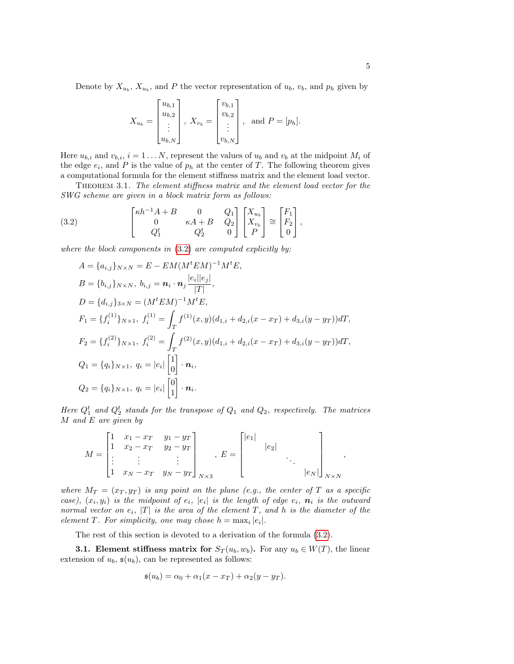Denote by  $X_{u_b}$ ,  $X_{u_b}$ , and P the vector representation of  $u_b$ ,  $v_b$ , and  $p_h$  given by

$$
X_{u_b} = \begin{bmatrix} u_{b,1} \\ u_{b,2} \\ \vdots \\ u_{b,N} \end{bmatrix}, X_{v_b} = \begin{bmatrix} v_{b,1} \\ v_{b,2} \\ \vdots \\ v_{b,N} \end{bmatrix}, \text{ and } P = [p_h].
$$

Here  $u_{b,i}$  and  $v_{b,i}$ ,  $i = 1...N$ , represent the values of  $u_b$  and  $v_b$  at the midpoint  $M_i$  of the edge  $e_i$ , and P is the value of  $p_h$  at the center of T. The following theorem gives a computational formula for the element stiffness matrix and the element load vector.

Theorem 3.1. The element stiffness matrix and the element load vector for the SWG scheme are given in a block matrix form as follows:

<span id="page-4-0"></span>(3.2) 
$$
\begin{bmatrix} \kappa h^{-1} A + B & 0 & Q_1 \\ 0 & \kappa A + B & Q_2 \\ Q_1^t & Q_2^t & 0 \end{bmatrix} \begin{bmatrix} X_{u_b} \\ X_{v_b} \\ P \end{bmatrix} \cong \begin{bmatrix} F_1 \\ F_2 \\ 0 \end{bmatrix},
$$

where the block components in  $(3.2)$  are computed explicitly by:

$$
A = \{a_{i,j}\}_{N \times N} = E - EM(M^t EM)^{-1} M^t E,
$$
  
\n
$$
B = \{b_{i,j}\}_{N \times N}, \ b_{i,j} = \mathbf{n}_i \cdot \mathbf{n}_j \frac{|e_i||e_j|}{|T|},
$$
  
\n
$$
D = \{d_{i,j}\}_{3 \times N} = (M^t EM)^{-1} M^t E,
$$
  
\n
$$
F_1 = \{f_i^{(1)}\}_{N \times 1}, \ f_i^{(1)} = \int_T f^{(1)}(x, y)(d_{1,i} + d_{2,i}(x - x_T) + d_{3,i}(y - y_T))dT,
$$
  
\n
$$
F_2 = \{f_i^{(2)}\}_{N \times 1}, \ f_i^{(2)} = \int_T f^{(2)}(x, y)(d_{1,i} + d_{2,i}(x - x_T) + d_{3,i}(y - y_T))dT,
$$
  
\n
$$
Q_1 = \{q_i\}_{N \times 1}, \ q_i = |e_i| \begin{bmatrix} 1 \\ 0 \end{bmatrix} \cdot \mathbf{n}_i,
$$
  
\n
$$
Q_2 = \{q_i\}_{N \times 1}, \ q_i = |e_i| \begin{bmatrix} 0 \\ 1 \end{bmatrix} \cdot \mathbf{n}_i.
$$

Here  $Q_1^t$  and  $Q_2^t$  stands for the transpose of  $Q_1$  and  $Q_2$ , respectively. The matrices  $M$  and  $E$  are given by

$$
M = \begin{bmatrix} 1 & x_1 - x_T & y_1 - y_T \\ 1 & x_2 - x_T & y_2 - y_T \\ \vdots & \vdots & \vdots \\ 1 & x_N - x_T & y_N - y_T \end{bmatrix}_{N \times 3}, E = \begin{bmatrix} |e_1| & & & \\ & |e_2| & & \\ & & \ddots & \\ & & & |e_N| \end{bmatrix}_{N \times N},
$$

where  $M_T = (x_T, y_T)$  is any point on the plane (e.g., the center of T as a specific case),  $(x_i, y_i)$  is the midpoint of  $e_i$ ,  $|e_i|$  is the length of edge  $e_i$ ,  $n_i$  is the outward normal vector on  $e_i$ ,  $|T|$  is the area of the element T, and h is the diameter of the element T. For simplicity, one may chose  $h = \max_i |e_i|$ .

The rest of this section is devoted to a derivation of the formula [\(3.2\)](#page-4-0).

**3.1. Element stiffness matrix for**  $S_T(u_b, w_b)$ . For any  $u_b \in W(T)$ , the linear extension of  $u_b$ ,  $\mathfrak{s}(u_b)$ , can be represented as follows:

$$
\mathfrak{s}(u_b) = \alpha_0 + \alpha_1(x - x_T) + \alpha_2(y - y_T).
$$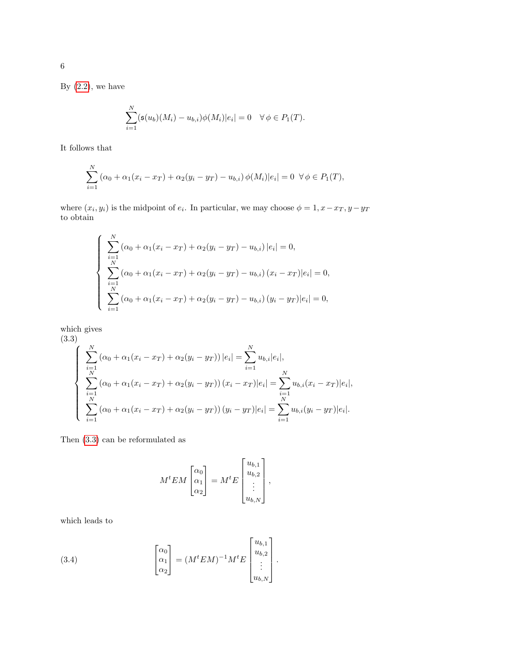By  $(2.2)$ , we have

$$
\sum_{i=1}^{N} (\mathfrak{s}(u_b)(M_i) - u_{b,i})\phi(M_i)|e_i| = 0 \quad \forall \phi \in P_1(T).
$$

It follows that

$$
\sum_{i=1}^{N} (\alpha_0 + \alpha_1 (x_i - x_T) + \alpha_2 (y_i - y_T) - u_{b,i}) \phi(M_i) |e_i| = 0 \ \forall \phi \in P_1(T),
$$

where  $(x_i, y_i)$  is the midpoint of  $e_i$ . In particular, we may choose  $\phi = 1, x - x_T, y - y_T$ to obtain

$$
\begin{cases}\n\sum_{i=1}^{N} (\alpha_0 + \alpha_1(x_i - x_T) + \alpha_2(y_i - y_T) - u_{b,i}) |e_i| = 0, \\
\sum_{i=1}^{N} (\alpha_0 + \alpha_1(x_i - x_T) + \alpha_2(y_i - y_T) - u_{b,i}) (x_i - x_T) |e_i| = 0, \\
\sum_{i=1}^{N} (\alpha_0 + \alpha_1(x_i - x_T) + \alpha_2(y_i - y_T) - u_{b,i}) (y_i - y_T) |e_i| = 0,\n\end{cases}
$$

which gives

<span id="page-5-0"></span>(3.3)  
\n
$$
\begin{cases}\n\sum_{i=1}^{N} (\alpha_0 + \alpha_1 (x_i - x_T) + \alpha_2 (y_i - y_T)) |e_i| = \sum_{i=1}^{N} u_{b,i} |e_i|, \\
\sum_{i=1}^{N} (\alpha_0 + \alpha_1 (x_i - x_T) + \alpha_2 (y_i - y_T)) (x_i - x_T) |e_i| = \sum_{i=1}^{N} u_{b,i} (x_i - x_T) |e_i|, \\
\sum_{i=1}^{N} (\alpha_0 + \alpha_1 (x_i - x_T) + \alpha_2 (y_i - y_T)) (y_i - y_T) |e_i| = \sum_{i=1}^{N} u_{b,i} (y_i - y_T) |e_i|. \n\end{cases}
$$

Then [\(3.3\)](#page-5-0) can be reformulated as

$$
M^{t}EM\begin{bmatrix} \alpha_0\\ \alpha_1\\ \alpha_2 \end{bmatrix} = M^{t}E\begin{bmatrix} u_{b,1}\\ u_{b,2}\\ \vdots\\ u_{b,N} \end{bmatrix},
$$

which leads to

<span id="page-5-1"></span>(3.4) 
$$
\begin{bmatrix} \alpha_0 \\ \alpha_1 \\ \alpha_2 \end{bmatrix} = (M^t EM)^{-1} M^t E \begin{bmatrix} u_{b,1} \\ u_{b,2} \\ \vdots \\ u_{b,N} \end{bmatrix}.
$$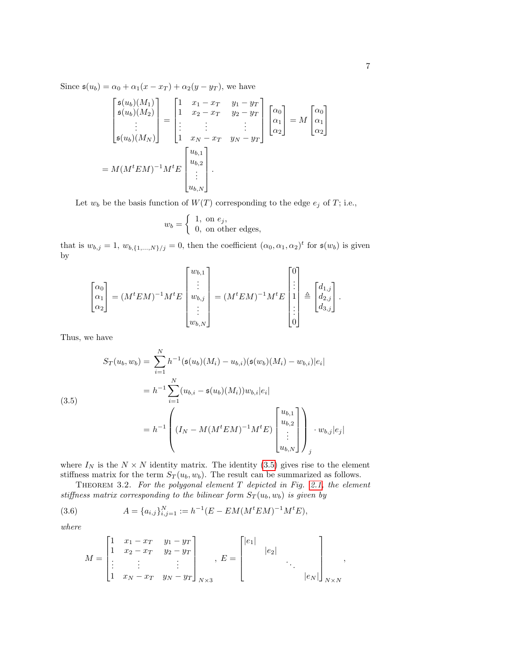Since  $\mathfrak{s}(u_b) = \alpha_0 + \alpha_1(x - x_T) + \alpha_2(y - y_T)$ , we have

$$
\begin{bmatrix}\n\mathfrak{s}(u_b)(M_1) \\
\mathfrak{s}(u_b)(M_2) \\
\vdots \\
\mathfrak{s}(u_b)(M_N)\n\end{bmatrix} =\n\begin{bmatrix}\n1 & x_1 - x_T & y_1 - y_T \\
1 & x_2 - x_T & y_2 - y_T \\
\vdots & \vdots & \vdots \\
1 & x_N - x_T & y_N - y_T\n\end{bmatrix}\n\begin{bmatrix}\n\alpha_0 \\
\alpha_1 \\
\alpha_2\n\end{bmatrix} = M\n\begin{bmatrix}\n\alpha_0 \\
\alpha_1 \\
\alpha_2\n\end{bmatrix}
$$
\n
$$
= M(M^tEM)^{-1}M^tE\n\begin{bmatrix}\nu_{b,1} \\
u_{b,2} \\
\vdots \\
u_{b,N}\n\end{bmatrix}.
$$

Let  $w_b$  be the basis function of  $W(T)$  corresponding to the edge  $e_j$  of T; i.e.,

$$
w_b = \begin{cases} 1, & \text{on } e_j, \\ 0, & \text{on other edges,} \end{cases}
$$

that is  $w_{b,j} = 1, w_{b,\{1,\ldots,N\}/j} = 0$ , then the coefficient  $(\alpha_0, \alpha_1, \alpha_2)^t$  for  $\mathfrak{s}(w_b)$  is given by

$$
\begin{bmatrix} \alpha_0 \\ \alpha_1 \\ \alpha_2 \end{bmatrix} = (M^tEM)^{-1}M^tE \begin{bmatrix} w_{b,1} \\ \vdots \\ w_{b,j} \\ \vdots \\ w_{b,N} \end{bmatrix} = (M^tEM)^{-1}M^tE \begin{bmatrix} 0 \\ \vdots \\ 1 \\ \vdots \\ 0 \end{bmatrix} \triangleq \begin{bmatrix} d_{1,j} \\ d_{2,j} \\ d_{3,j} \end{bmatrix}.
$$

Thus, we have

<span id="page-6-0"></span>
$$
S_T(u_b, w_b) = \sum_{i=1}^N h^{-1}(\mathfrak{s}(u_b)(M_i) - u_{b,i})(\mathfrak{s}(w_b)(M_i) - w_{b,i})|e_i|
$$
  
=  $h^{-1} \sum_{i=1}^N (u_{b,i} - \mathfrak{s}(u_b)(M_i))w_{b,i}|e_i|$   
=  $h^{-1} \left( (I_N - M(M^tEM)^{-1}M^tE) \begin{bmatrix} u_{b,1} \\ u_{b,2} \\ \vdots \\ u_{b,N} \end{bmatrix} \right) \cdot w_{b,j}|e_j|$ 

where  $I_N$  is the  $N \times N$  identity matrix. The identity [\(3.5\)](#page-6-0) gives rise to the element stiffness matrix for the term  $S_T(u_b, w_b)$ . The result can be summarized as follows.

THEOREM 3.2. For the polygonal element  $T$  depicted in Fig. [2.1,](#page-2-1) the element stiffness matrix corresponding to the bilinear form  $S_T(u_b, w_b)$  is given by

(3.6) 
$$
A = \{a_{i,j}\}_{i,j=1}^N := h^{-1}(E - EM(M^tEM)^{-1}M^tE),
$$

where

$$
M = \begin{bmatrix} 1 & x_1 - x_T & y_1 - y_T \\ 1 & x_2 - x_T & y_2 - y_T \\ \vdots & \vdots & & \vdots \\ 1 & x_N - x_T & y_N - y_T \end{bmatrix}_{N \times 3}, E = \begin{bmatrix} |e_1| & & & \\ & |e_2| & & \\ & & \ddots & \\ & & & |e_N| \end{bmatrix}_{N \times N},
$$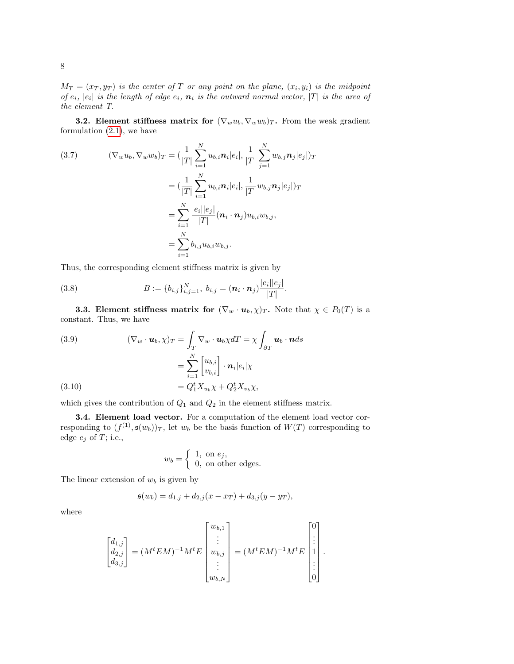$M_T = (x_T, y_T)$  is the center of T or any point on the plane,  $(x_i, y_i)$  is the midpoint of  $e_i$ ,  $|e_i|$  is the length of edge  $e_i$ ,  $\boldsymbol{n}_i$  is the outward normal vector,  $|T|$  is the area of the element T.

**3.2. Element stiffness matrix for**  $(\nabla_w u_b, \nabla_w w_b)_T$ . From the weak gradient formulation [\(2.1\)](#page-2-3), we have

(3.7) 
$$
(\nabla_w u_b, \nabla_w w_b)_T = \left(\frac{1}{|T|} \sum_{i=1}^N u_{b,i} \mathbf{n}_i | e_i|, \frac{1}{|T|} \sum_{j=1}^N w_{b,j} \mathbf{n}_j | e_j| \right)_T = \left(\frac{1}{|T|} \sum_{i=1}^N u_{b,i} \mathbf{n}_i | e_i|, \frac{1}{|T|} w_{b,j} \mathbf{n}_j | e_j| \right)_T = \sum_{i=1}^N \frac{|e_i| |e_j|}{|T|} (\mathbf{n}_i \cdot \mathbf{n}_j) u_{b,i} w_{b,j}, = \sum_{i=1}^N b_{i,j} u_{b,i} w_{b,j}.
$$

Thus, the corresponding element stiffness matrix is given by

(3.8) 
$$
B := \{b_{i,j}\}_{i,j=1}^N, b_{i,j} = (\mathbf{n}_i \cdot \mathbf{n}_j) \frac{|e_i||e_j|}{|T|}.
$$

**3.3. Element stiffness matrix for**  $(\nabla_w \cdot \mathbf{u}_b, \chi)_T$ . Note that  $\chi \in P_0(T)$  is a constant. Thus, we have

(3.9) 
$$
(\nabla_w \cdot \mathbf{u}_b, \chi)_T = \int_T \nabla_w \cdot \mathbf{u}_b \chi dT = \chi \int_{\partial T} \mathbf{u}_b \cdot \mathbf{n} ds
$$

$$
= \sum_{i=1}^N \begin{bmatrix} u_{b,i} \\ v_{b,i} \end{bmatrix} \cdot \mathbf{n}_i |e_i| \chi
$$

$$
= Q_1^t X_{u_b} \chi + Q_2^t X_{v_b} \chi,
$$

which gives the contribution of  $Q_1$  and  $Q_2$  in the element stiffness matrix.

3.4. Element load vector. For a computation of the element load vector corresponding to  $(f^{(1)}, \mathfrak{s}(w_b))_T$ , let  $w_b$  be the basis function of  $W(T)$  corresponding to edge  $e_j$  of T; i.e.,

$$
w_b = \begin{cases} 1, & \text{on } e_j, \\ 0, & \text{on other edges.} \end{cases}
$$

The linear extension of  $w_b$  is given by

$$
\mathfrak{s}(w_b) = d_{1,j} + d_{2,j}(x - x_T) + d_{3,j}(y - y_T),
$$

where

$$
\begin{bmatrix} d_{1,j} \\ d_{2,j} \\ d_{3,j} \end{bmatrix} = (M^t E M)^{-1} M^t E \begin{bmatrix} w_{b,1} \\ \vdots \\ w_{b,j} \\ \vdots \\ w_{b,N} \end{bmatrix} = (M^t E M)^{-1} M^t E \begin{bmatrix} 0 \\ \vdots \\ 1 \\ \vdots \\ 0 \end{bmatrix}.
$$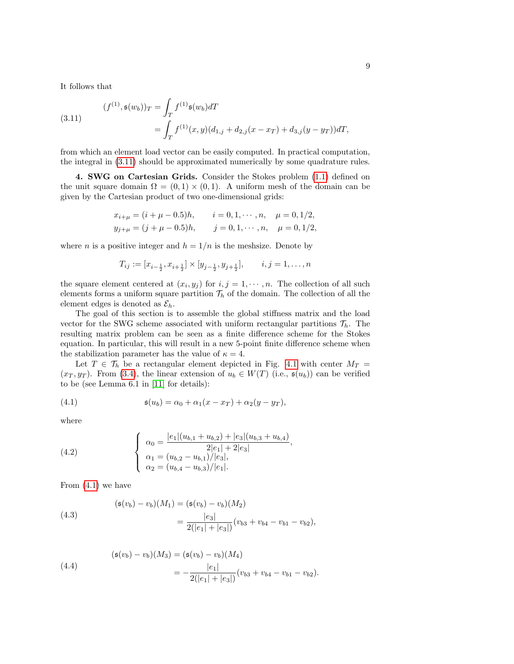It follows that

<span id="page-8-1"></span>(3.11) 
$$
(f^{(1)}, \mathfrak{s}(w_b))_T = \int_T f^{(1)} \mathfrak{s}(w_b) dT
$$

$$
= \int_T f^{(1)}(x, y) (d_{1,j} + d_{2,j}(x - x_T) + d_{3,j}(y - y_T)) dT,
$$

from which an element load vector can be easily computed. In practical computation, the integral in [\(3.11\)](#page-8-1) should be approximated numerically by some quadrature rules.

<span id="page-8-0"></span>4. SWG on Cartesian Grids. Consider the Stokes problem [\(1.1\)](#page-0-0) defined on the unit square domain  $\Omega = (0,1) \times (0,1)$ . A uniform mesh of the domain can be given by the Cartesian product of two one-dimensional grids:

$$
x_{i+\mu} = (i + \mu - 0.5)h, \t i = 0, 1, \dots, n, \t \mu = 0, 1/2,
$$
  

$$
y_{j+\mu} = (j + \mu - 0.5)h, \t j = 0, 1, \dots, n, \t \mu = 0, 1/2,
$$

where *n* is a positive integer and  $h = 1/n$  is the meshsize. Denote by

$$
T_{ij} := [x_{i-\frac{1}{2}}, x_{i+\frac{1}{2}}] \times [y_{j-\frac{1}{2}}, y_{j+\frac{1}{2}}], \qquad i, j = 1, \dots, n
$$

the square element centered at  $(x_i, y_j)$  for  $i, j = 1, \dots, n$ . The collection of all such elements forms a uniform square partition  $\mathcal{T}_h$  of the domain. The collection of all the element edges is denoted as  $\mathcal{E}_h$ .

The goal of this section is to assemble the global stiffness matrix and the load vector for the SWG scheme associated with uniform rectangular partitions  $\mathcal{T}_h$ . The resulting matrix problem can be seen as a finite difference scheme for the Stokes equation. In particular, this will result in a new 5-point finite difference scheme when the stabilization parameter has the value of  $\kappa = 4$ .

Let  $T \in \mathcal{T}_h$  be a rectangular element depicted in Fig. [4.1](#page-2-1) with center  $M_T =$  $(x_T, y_T)$ . From [\(3.4\)](#page-5-1), the linear extension of  $u_b \in W(T)$  (i.e.,  $\mathfrak{s}(u_b)$ ) can be verified to be (see Lemma 6.1 in [\[11\]](#page-31-5) for details):

<span id="page-8-2"></span>(4.1) 
$$
\mathfrak{s}(u_b) = \alpha_0 + \alpha_1(x - x_T) + \alpha_2(y - y_T),
$$

where

<span id="page-8-3"></span>(4.2) 
$$
\begin{cases} \n\alpha_0 = \frac{|e_1|(u_{b,1} + u_{b,2}) + |e_3|(u_{b,3} + u_{b,4})}{2|e_1| + 2|e_3|},\\ \n\alpha_1 = \frac{(u_{b,2} - u_{b,1})/|e_3|}{2|e_2|}.\n\alpha_2 = \frac{(u_{b,4} - u_{b,3})/|e_1|}{2|e_3|}. \n\end{cases}
$$

From [\(4.1\)](#page-8-2) we have

<span id="page-8-5"></span>(4.3)  
\n
$$
(\mathfrak{s}(v_b) - v_b)(M_1) = (\mathfrak{s}(v_b) - v_b)(M_2)
$$
\n
$$
= \frac{|e_3|}{2(|e_1| + |e_3|)}(v_{b3} + v_{b4} - v_{b1} - v_{b2}),
$$

<span id="page-8-4"></span>(4.4) 
$$
(\mathfrak{s}(v_b) - v_b)(M_3) = (\mathfrak{s}(v_b) - v_b)(M_4) = -\frac{|e_1|}{2(|e_1| + |e_3|)}(v_{b3} + v_{b4} - v_{b1} - v_{b2}).
$$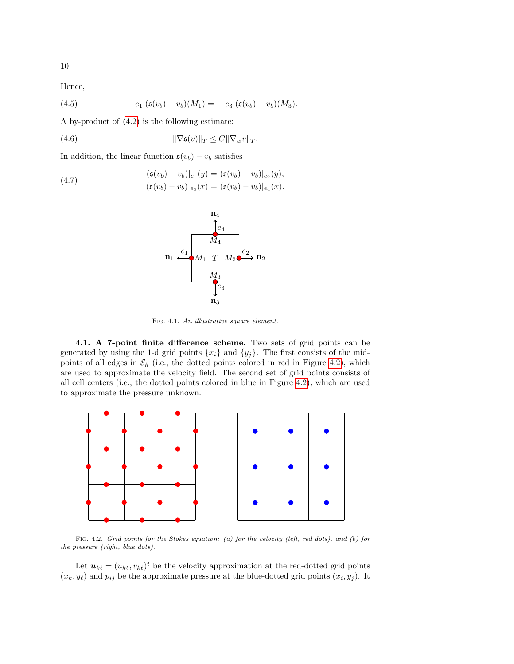Hence,

(4.5) 
$$
|e_1|(\mathfrak{s}(v_b)-v_b)(M_1)=-|e_3|(\mathfrak{s}(v_b)-v_b)(M_3).
$$

A by-product of [\(4.2\)](#page-8-3) is the following estimate:

(4.6) 
$$
\|\nabla \mathfrak{s}(v)\|_{T} \leq C \|\nabla_w v\|_{T}.
$$

In addition, the linear function  $\mathfrak{s}(v_b) - v_b$  satisfies

<span id="page-9-1"></span>(4.7) 
$$
(\mathfrak{s}(v_b) - v_b)|_{e_1}(y) = (\mathfrak{s}(v_b) - v_b)|_{e_2}(y), (\mathfrak{s}(v_b) - v_b)|_{e_3}(x) = (\mathfrak{s}(v_b) - v_b)|_{e_4}(x).
$$

<span id="page-9-2"></span>

Fig. 4.1. An illustrative square element.

4.1. A 7-point finite difference scheme. Two sets of grid points can be generated by using the 1-d grid points  $\{x_i\}$  and  $\{y_j\}$ . The first consists of the midpoints of all edges in  $\mathcal{E}_h$  (i.e., the dotted points colored in red in Figure [4.2\)](#page-9-0), which are used to approximate the velocity field. The second set of grid points consists of all cell centers (i.e., the dotted points colored in blue in Figure [4.2\)](#page-9-0), which are used to approximate the pressure unknown.

<span id="page-9-3"></span>

<span id="page-9-4"></span><span id="page-9-0"></span>Fig. 4.2. Grid points for the Stokes equation: (a) for the velocity (left, red dots), and (b) for the pressure (right, blue dots).

Let  $u_{k\ell} = (u_{k\ell}, v_{k\ell})^t$  be the velocity approximation at the red-dotted grid points  $(x_k, y_\ell)$  and  $p_{ij}$  be the approximate pressure at the blue-dotted grid points  $(x_i, y_j)$ . It

10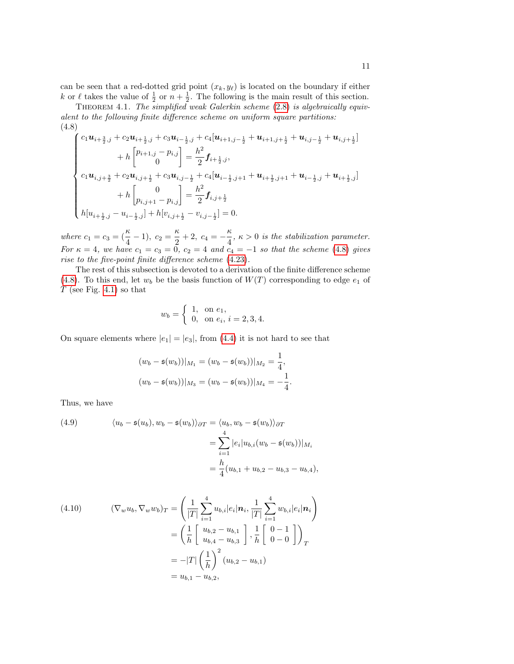can be seen that a red-dotted grid point  $(x_k, y_\ell)$  is located on the boundary if either k or  $\ell$  takes the value of  $\frac{1}{2}$  or  $n + \frac{1}{2}$ . The following is the main result of this section.

THEOREM 4.1. The simplified weak Galerkin scheme [\(2.8\)](#page-3-1) is algebraically equivalent to the following finite difference scheme on uniform square partitions: (4.8)

<span id="page-10-0"></span>
$$
\begin{cases}\nc_1 \mathbf{u}_{i+\frac{3}{2},j} + c_2 \mathbf{u}_{i+\frac{1}{2},j} + c_3 \mathbf{u}_{i-\frac{1}{2},j} + c_4 [\mathbf{u}_{i+1,j-\frac{1}{2}} + \mathbf{u}_{i+1,j+\frac{1}{2}} + \mathbf{u}_{i,j-\frac{1}{2}} + \mathbf{u}_{i,j+\frac{1}{2}}] \\
+ h \begin{bmatrix} p_{i+1,j} - p_{i,j} \\ 0 \end{bmatrix} = \frac{h^2}{2} \mathbf{f}_{i+\frac{1}{2},j}, \\
c_1 \mathbf{u}_{i,j+\frac{3}{2}} + c_2 \mathbf{u}_{i,j+\frac{1}{2}} + c_3 \mathbf{u}_{i,j-\frac{1}{2}} + c_4 [\mathbf{u}_{i-\frac{1}{2},j+1} + \mathbf{u}_{i+\frac{1}{2},j+1} + \mathbf{u}_{i-\frac{1}{2},j} + \mathbf{u}_{i+\frac{1}{2},j}] \\
+ h \begin{bmatrix} 0 \\ p_{i,j+1} - p_{i,j} \end{bmatrix} = \frac{h^2}{2} \mathbf{f}_{i,j+\frac{1}{2}} \\
h [u_{i+\frac{1}{2},j} - u_{i-\frac{1}{2},j}] + h [v_{i,j+\frac{1}{2}} - v_{i,j-\frac{1}{2}}] = 0.\n\end{cases}
$$

where  $c_1 = c_3 = (\frac{\kappa}{4} - 1), c_2 = \frac{\kappa}{2}$  $\frac{\kappa}{2} + 2, \ c_4 = -\frac{\kappa}{4}$  $\frac{\pi}{4}$ ,  $\kappa > 0$  is the stabilization parameter. For  $\kappa = 4$ , we have  $c_1 = c_3 = 0$ ,  $c_2 = 4$  and  $c_4 = -1$  so that the scheme [\(4.8\)](#page-10-0) gives rise to the five-point finite difference scheme [\(4.23\)](#page-13-1).

The rest of this subsection is devoted to a derivation of the finite difference scheme [\(4.8\)](#page-10-0). To this end, let  $w_b$  be the basis function of  $W(T)$  corresponding to edge  $e_1$  of  $T$  (see Fig. [4.1\)](#page-2-1) so that

$$
w_b = \begin{cases} 1, & \text{on } e_1, \\ 0, & \text{on } e_i, i = 2, 3, 4. \end{cases}
$$

On square elements where  $|e_1| = |e_3|$ , from [\(4.4\)](#page-8-4) it is not hard to see that

$$
(w_b - \mathfrak{s}(w_b))|_{M_1} = (w_b - \mathfrak{s}(w_b))|_{M_2} = \frac{1}{4},
$$
  

$$
(w_b - \mathfrak{s}(w_b))|_{M_3} = (w_b - \mathfrak{s}(w_b))|_{M_4} = -\frac{1}{4}.
$$

Thus, we have

<span id="page-10-1"></span>(4.9) 
$$
\langle u_b - \mathfrak{s}(u_b), w_b - \mathfrak{s}(w_b) \rangle_{\partial T} = \langle u_b, w_b - \mathfrak{s}(w_b) \rangle_{\partial T} = \sum_{i=1}^4 |e_i| u_{b,i} (w_b - \mathfrak{s}(w_b))|_{M_i} = \frac{h}{4} (u_{b,1} + u_{b,2} - u_{b,3} - u_{b,4}),
$$

<span id="page-10-2"></span>(4.10) 
$$
(\nabla_w u_b, \nabla_w w_b)_T = \left(\frac{1}{|T|} \sum_{i=1}^4 u_{b,i} |e_i| \mathbf{n}_i, \frac{1}{|T|} \sum_{i=1}^4 w_{b,i} |e_i| \mathbf{n}_i\right)
$$

$$
= \left(\frac{1}{h} \begin{bmatrix} u_{b,2} - u_{b,1} \\ u_{b,4} - u_{b,3} \end{bmatrix}, \frac{1}{h} \begin{bmatrix} 0 & -1 \\ 0 & -0 \end{bmatrix}\right)_T
$$

$$
= -|T| \left(\frac{1}{h}\right)^2 (u_{b,2} - u_{b,1})
$$

$$
= u_{b,1} - u_{b,2},
$$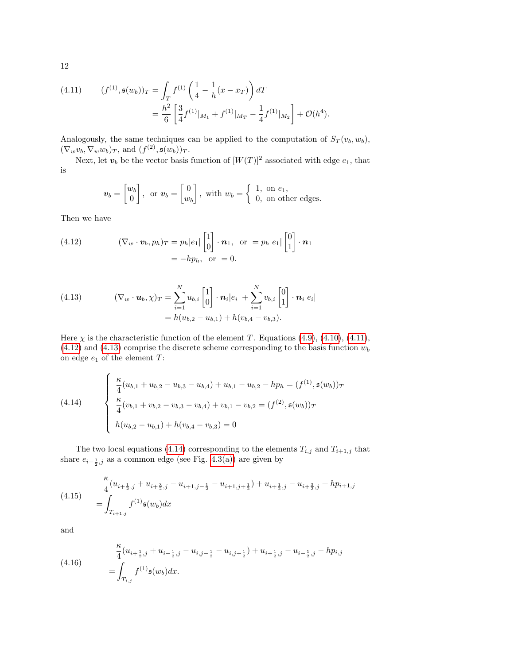<span id="page-11-0"></span>(4.11) 
$$
(f^{(1)}, \mathfrak{s}(w_b))_T = \int_T f^{(1)} \left(\frac{1}{4} - \frac{1}{h}(x - x_T)\right) dT
$$

$$
= \frac{h^2}{6} \left[\frac{3}{4} f^{(1)}|_{M_1} + f^{(1)}|_{M_T} - \frac{1}{4} f^{(1)}|_{M_2}\right] + \mathcal{O}(h^4).
$$

Analogously, the same techniques can be applied to the computation of  $S_T(v_b, w_b)$ ,  $(\nabla_w v_b, \nabla_w w_b)_T$ , and  $(f^{(2)}, \mathfrak{s}(w_b))_T$ .

Next, let  $v_b$  be the vector basis function of  $[W(T)]^2$  associated with edge  $e_1$ , that is

<span id="page-11-1"></span>
$$
\boldsymbol{v}_b = \begin{bmatrix} w_b \\ 0 \end{bmatrix}, \text{ or } \boldsymbol{v}_b = \begin{bmatrix} 0 \\ w_b \end{bmatrix}, \text{ with } w_b = \begin{cases} 1, & \text{on } e_1, \\ 0, & \text{on other edges.} \end{cases}
$$

Then we have

(4.12) 
$$
(\nabla_w \cdot \mathbf{v}_b, p_h)_T = p_h |e_1| \begin{bmatrix} 1 \\ 0 \end{bmatrix} \cdot \mathbf{n}_1, \text{ or } = p_h |e_1| \begin{bmatrix} 0 \\ 1 \end{bmatrix} \cdot \mathbf{n}_1
$$

$$
= -hp_h, \text{ or } = 0.
$$

<span id="page-11-2"></span>(4.13) 
$$
(\nabla_w \cdot \mathbf{u}_b, \chi)_T = \sum_{i=1}^N u_{b,i} \begin{bmatrix} 1 \\ 0 \end{bmatrix} \cdot \mathbf{n}_i |e_i| + \sum_{i=1}^N v_{b,i} \begin{bmatrix} 0 \\ 1 \end{bmatrix} \cdot \mathbf{n}_i |e_i|
$$

$$
= h(u_{b,2} - u_{b,1}) + h(v_{b,4} - v_{b,3}).
$$

Here  $\chi$  is the characteristic function of the element T. Equations [\(4.9\)](#page-10-1), [\(4.10\)](#page-10-2), [\(4.11\)](#page-11-0),  $(4.12)$  and  $(4.13)$  comprise the discrete scheme corresponding to the basis function  $w_b$ on edge  $e_1$  of the element  $T$ :

<span id="page-11-3"></span>(4.14) 
$$
\begin{cases} \frac{\kappa}{4} (u_{b,1} + u_{b,2} - u_{b,3} - u_{b,4}) + u_{b,1} - u_{b,2} - hp_h = (f^{(1)}, \mathfrak{s}(w_b))_T \\ \frac{\kappa}{4} (v_{b,1} + v_{b,2} - v_{b,3} - v_{b,4}) + v_{b,1} - v_{b,2} = (f^{(2)}, \mathfrak{s}(w_b))_T \\ h(u_{b,2} - u_{b,1}) + h(v_{b,4} - v_{b,3}) = 0 \end{cases}
$$

The two local equations [\(4.14\)](#page-11-3) corresponding to the elements  $T_{i,j}$  and  $T_{i+1,j}$  that share  $e_{i+\frac{1}{2},j}$  as a common edge (see Fig. [4.3\(a\)\)](#page-12-0) are given by

<span id="page-11-4"></span>(4.15) 
$$
\frac{\kappa}{4} (u_{i+\frac{1}{2},j} + u_{i+\frac{3}{2},j} - u_{i+1,j-\frac{1}{2}} - u_{i+1,j+\frac{1}{2}}) + u_{i+\frac{1}{2},j} - u_{i+\frac{3}{2},j} + hp_{i+1,j}
$$

$$
= \int_{T_{i+1,j}} f^{(1)}\mathfrak{s}(w_b) dx
$$

and

<span id="page-11-5"></span>(4.16) 
$$
\frac{\kappa}{4} (u_{i+\frac{1}{2},j} + u_{i-\frac{1}{2},j} - u_{i,j-\frac{1}{2}} - u_{i,j+\frac{1}{2}}) + u_{i+\frac{1}{2},j} - u_{i-\frac{1}{2},j} - h p_{i,j} = \int_{T_{i,j}} f^{(1)} \mathfrak{s}(w_b) dx.
$$

12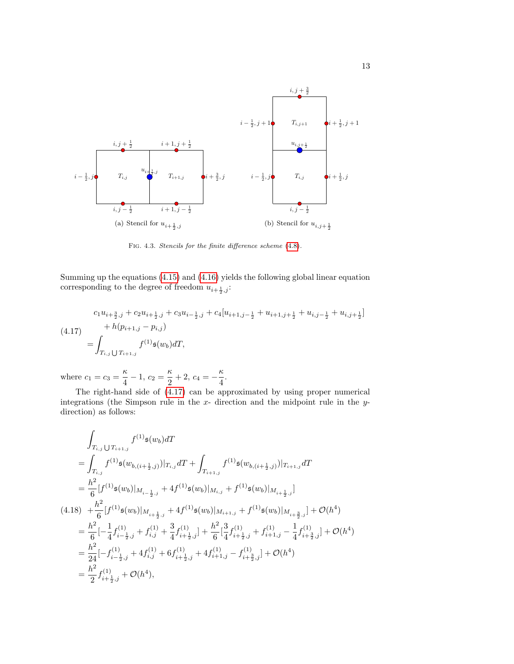<span id="page-12-0"></span>

<span id="page-12-3"></span><span id="page-12-2"></span>Fig. 4.3. Stencils for the finite difference scheme [\(4.8\)](#page-10-0).

Summing up the equations [\(4.15\)](#page-11-4) and [\(4.16\)](#page-11-5) yields the following global linear equation corresponding to the degree of freedom  $u_{i+\frac{1}{2},j}$ :

<span id="page-12-1"></span>
$$
(4.17)
$$
\n
$$
c_{1}u_{i+\frac{3}{2},j} + c_{2}u_{i+\frac{1}{2},j} + c_{3}u_{i-\frac{1}{2},j} + c_{4}[u_{i+1,j-\frac{1}{2}} + u_{i+1,j+\frac{1}{2}} + u_{i,j-\frac{1}{2}} + u_{i,j+\frac{1}{2}}]
$$
\n
$$
+ h(p_{i+1,j} - p_{i,j})
$$
\n
$$
= \int_{T_{i,j} \cup T_{i+1,j}} f^{(1)}\mathfrak{s}(w_{b}) dT,
$$

where  $c_1 = c_3 = \frac{\kappa}{4}$  $\frac{\kappa}{4} - 1, c_2 = \frac{\kappa}{2}$  $\frac{\kappa}{2} + 2, \, c_4 = -\frac{\kappa}{4}$  $\frac{1}{4}$ .

The right-hand side of [\(4.17\)](#page-12-1) can be approximated by using proper numerical integrations (the Simpson rule in the  $x$ - direction and the midpoint rule in the  $y$ direction) as follows:

$$
\int_{T_{i,j}} f^{(1)}\mathfrak{s}(w_{b}) dT
$$
\n=
$$
\int_{T_{i,j}} f^{(1)}\mathfrak{s}(w_{b,(i+\frac{1}{2},j)}) |_{T_{i,j}} dT + \int_{T_{i+1,j}} f^{(1)}\mathfrak{s}(w_{b,(i+\frac{1}{2},j)}) |_{T_{i+1,j}} dT
$$
\n=
$$
\frac{h^{2}}{6} [f^{(1)}\mathfrak{s}(w_{b}) |_{M_{i-\frac{1}{2},j}} + 4f^{(1)}\mathfrak{s}(w_{b}) |_{M_{i,j}} + f^{(1)}\mathfrak{s}(w_{b}) |_{M_{i+\frac{1}{2},j}}]
$$
\n(4.18) 
$$
+ \frac{h^{2}}{6} [f^{(1)}\mathfrak{s}(w_{b}) |_{M_{i+\frac{1}{2},j}} + 4f^{(1)}\mathfrak{s}(w_{b}) |_{M_{i+1,j}} + f^{(1)}\mathfrak{s}(w_{b}) |_{M_{i+\frac{3}{2},j}}] + \mathcal{O}(h^{4})
$$
\n=
$$
\frac{h^{2}}{6} [-\frac{1}{4}f^{(1)}_{i-\frac{1}{2},j} + f^{(1)}_{i,j} + \frac{3}{4}f^{(1)}_{i+\frac{1}{2},j}] + \frac{h^{2}}{6} [\frac{3}{4}f^{(1)}_{i+\frac{1}{2},j} + f^{(1)}_{i+1,j} - \frac{1}{4}f^{(1)}_{i+\frac{3}{2},j}] + \mathcal{O}(h^{4})
$$
\n=
$$
\frac{h^{2}}{24} [-f^{(1)}_{i-\frac{1}{2},j} + 4f^{(1)}_{i,j} + 6f^{(1)}_{i+\frac{1}{2},j} + 4f^{(1)}_{i+1,j} - f^{(1)}_{i+\frac{3}{2},j}] + \mathcal{O}(h^{4})
$$
\n=
$$
\frac{h^{2}}{2} f^{(1)}_{i+\frac{1}{2},j} + \mathcal{O}(h^{4}),
$$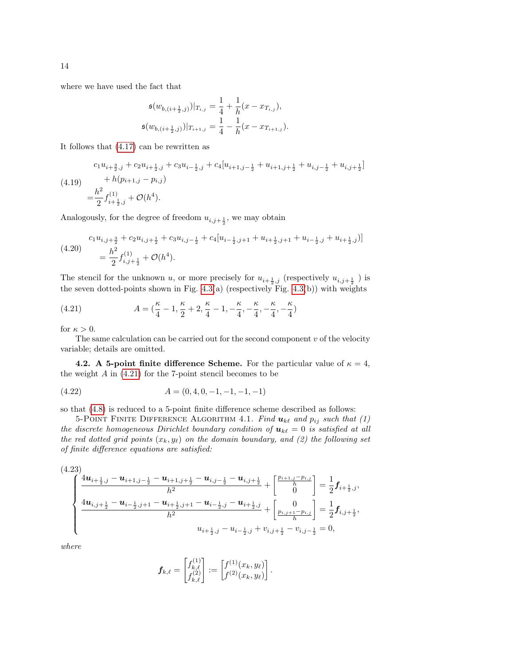where we have used the fact that

$$
\mathfrak{s}(w_{b,(i+\frac{1}{2},j)})|_{T_{i,j}} = \frac{1}{4} + \frac{1}{h}(x - x_{T_{i,j}}),
$$
  

$$
\mathfrak{s}(w_{b,(i+\frac{1}{2},j)})|_{T_{i+1,j}} = \frac{1}{4} - \frac{1}{h}(x - x_{T_{i+1,j}}).
$$

It follows that [\(4.17\)](#page-12-1) can be rewritten as

$$
(4.19) \quad c_1 u_{i+\frac{3}{2},j} + c_2 u_{i+\frac{1}{2},j} + c_3 u_{i-\frac{1}{2},j} + c_4 [u_{i+1,j-\frac{1}{2}} + u_{i+1,j+\frac{1}{2}} + u_{i,j-\frac{1}{2}} + u_{i,j+\frac{1}{2}}] = \frac{h^2}{2} f_{i+\frac{1}{2},j}^{(1)} + \mathcal{O}(h^4).
$$

Analogously, for the degree of freedom  $u_{i,j+\frac{1}{2}}$ , we may obtain

$$
(4.20) \quad\n\begin{aligned}\n& c_1 u_{i,j+\frac{3}{2}} + c_2 u_{i,j+\frac{1}{2}} + c_3 u_{i,j-\frac{1}{2}} + c_4 [u_{i-\frac{1}{2},j+1} + u_{i+\frac{1}{2},j+1} + u_{i-\frac{1}{2},j} + u_{i+\frac{1}{2},j})] \\
&= \frac{h^2}{2} f_{i,j+\frac{1}{2}}^{\,(1)} + \mathcal{O}(h^4).\n\end{aligned}
$$

The stencil for the unknown u, or more precisely for  $u_{i+\frac{1}{2},j}$  (respectively  $u_{i,j+\frac{1}{2}}$ ) is the seven dotted-points shown in Fig.  $4.3(a)$  (respectively Fig.  $4.3(b)$ ) with weights

<span id="page-13-2"></span>(4.21) 
$$
A = \left(\frac{\kappa}{4} - 1, \frac{\kappa}{2} + 2, \frac{\kappa}{4} - 1, -\frac{\kappa}{4}, -\frac{\kappa}{4}, -\frac{\kappa}{4}, -\frac{\kappa}{4}\right)
$$

for  $\kappa > 0$ .

The same calculation can be carried out for the second component  $v$  of the velocity variable; details are omitted.

<span id="page-13-0"></span>4.2. A 5-point finite difference Scheme. For the particular value of  $\kappa = 4$ , the weight  $A$  in  $(4.21)$  for the 7-point stencil becomes to be

$$
(4.22) \t\t A = (0, 4, 0, -1, -1, -1, -1)
$$

so that [\(4.8\)](#page-10-0) is reduced to a 5-point finite difference scheme described as follows:

5-POINT FINITE DIFFERENCE ALGORITHM 4.1. Find  $u_{k\ell}$  and  $p_{ij}$  such that (1) the discrete homogeneous Dirichlet boundary condition of  $u_{k\ell} = 0$  is satisfied at all the red dotted grid points  $(x_k, y_\ell)$  on the domain boundary, and (2) the following set of finite difference equations are satisfied:

<span id="page-13-1"></span>
$$
\begin{cases}\n\frac{4\mathbf{u}_{i+\frac{1}{2},j}-\mathbf{u}_{i+1,j-\frac{1}{2}}-\mathbf{u}_{i+1,j+\frac{1}{2}}-\mathbf{u}_{i,j-\frac{1}{2}}-\mathbf{u}_{i,j+\frac{1}{2}}}{h^{2}} + \begin{bmatrix} \frac{p_{i+1,j}-p_{i,j}}{h} \\ 0 \end{bmatrix} = \frac{1}{2}\mathbf{f}_{i+\frac{1}{2},j}, \\
\frac{4\mathbf{u}_{i,j+\frac{1}{2}}-\mathbf{u}_{i-\frac{1}{2},j+1}-\mathbf{u}_{i+\frac{1}{2},j+\frac{1}{2}}-\mathbf{u}_{i-\frac{1}{2},j}-\mathbf{u}_{i+\frac{1}{2},j}}{h^{2}} + \begin{bmatrix} 0 \\ \frac{p_{i,j+1}-p_{i,j}}{h} \end{bmatrix} = \frac{1}{2}\mathbf{f}_{i,j+\frac{1}{2}}, \\
u_{i+\frac{1}{2},j}-u_{i-\frac{1}{2},j}+v_{i,j+\frac{1}{2}}-v_{i,j-\frac{1}{2}} = 0,\n\end{cases}
$$

where

$$
\boldsymbol{f}_{k,\ell} = \begin{bmatrix} f_{k,\ell}^{(1)} \\ f_{k,\ell}^{(2)} \end{bmatrix} := \begin{bmatrix} f^{(1)}(x_k,y_\ell) \\ f^{(2)}(x_k,y_\ell) \end{bmatrix}.
$$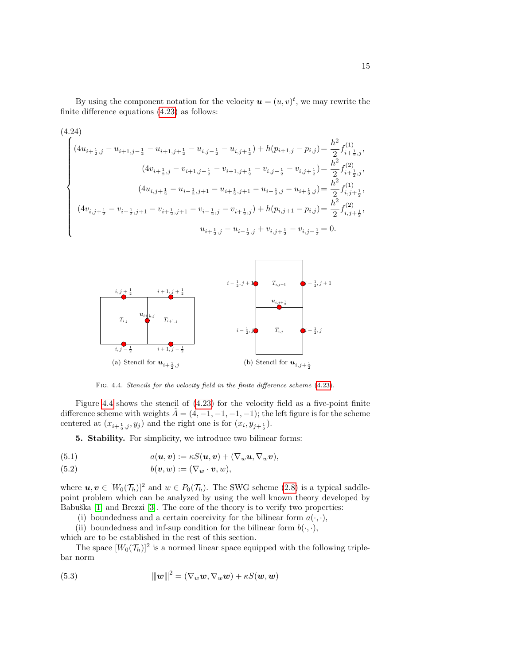By using the component notation for the velocity  $\mathbf{u} = (u, v)^t$ , we may rewrite the finite difference equations [\(4.23\)](#page-13-1) as follows:

$$
(4.24)
$$
\n
$$
(4.24)
$$
\n
$$
(4u_{i+\frac{1}{2},j} - u_{i+1,j-\frac{1}{2}} - u_{i+1,j+\frac{1}{2}} - u_{i,j-\frac{1}{2}} - u_{i,j+\frac{1}{2}}) + h(p_{i+1,j} - p_{i,j}) = \frac{h^2}{2} f_{i+\frac{1}{2},j}^{(1)},
$$
\n
$$
(4v_{i+\frac{1}{2},j} - v_{i+1,j-\frac{1}{2}} - v_{i+1,j+\frac{1}{2}} - v_{i,j-\frac{1}{2}} - v_{i,j+\frac{1}{2}}) = \frac{h^2}{2} f_{i+\frac{1}{2},j}^{(2)},
$$
\n
$$
(4u_{i,j+\frac{1}{2}} - u_{i-\frac{1}{2},j+1} - u_{i+\frac{1}{2},j+1} - u_{i-\frac{1}{2},j} - u_{i+\frac{1}{2},j}) = \frac{h^2}{2} f_{i,j+\frac{1}{2}}^{(1)},
$$
\n
$$
(4v_{i,j+\frac{1}{2}} - v_{i-\frac{1}{2},j+1} - v_{i+\frac{1}{2},j+1} - v_{i-\frac{1}{2},j} - v_{i+\frac{1}{2},j}) + h(p_{i,j+1} - p_{i,j}) = \frac{h^2}{2} f_{i,j+\frac{1}{2}}^{(2)},
$$
\n
$$
u_{i+\frac{1}{2},j} - u_{i-\frac{1}{2},j} + v_{i,j+\frac{1}{2}} - v_{i,j-\frac{1}{2}} = 0.
$$



<span id="page-14-1"></span>Fig. 4.4. Stencils for the velocity field in the finite difference scheme [\(4.23\)](#page-13-1).

Figure [4.4](#page-14-1) shows the stencil of [\(4.23\)](#page-13-1) for the velocity field as a five-point finite difference scheme with weights  $A = (4, -1, -1, -1, -1)$ ; the left figure is for the scheme centered at  $(x_{i+\frac{1}{2},j}, y_j)$  and the right one is for  $(x_i, y_{j+\frac{1}{2}})$ .

<span id="page-14-2"></span><span id="page-14-0"></span>5. Stability. For simplicity, we introduce two bilinear forms:

(5.1) 
$$
a(\boldsymbol{u},\boldsymbol{v}):=\kappa S(\boldsymbol{u},\boldsymbol{v})+(\nabla_w\boldsymbol{u},\nabla_w\boldsymbol{v}),
$$

(5.2) 
$$
b(\boldsymbol{v},w):=(\nabla_w\cdot\boldsymbol{v},w),
$$

where  $u, v \in [W_0(\mathcal{T}_h)]^2$  and  $w \in P_0(\mathcal{T}_h)$ . The SWG scheme [\(2.8\)](#page-3-1) is a typical saddlepoint problem which can be analyzed by using the well known theory developed by Babuška [\[1\]](#page-31-13) and Brezzi [\[3\]](#page-31-14). The core of the theory is to verify two properties:

(i) boundedness and a certain coercivity for the bilinear form  $a(\cdot, \cdot)$ ,

(ii) boundedness and inf-sup condition for the bilinear form  $b(\cdot, \cdot)$ , which are to be established in the rest of this section.

The space  $[W_0(\mathcal{T}_h)]^2$  is a normed linear space equipped with the following triplebar norm

(5.3) 
$$
\|\boldsymbol{w}\|^2 = (\nabla_w \boldsymbol{w}, \nabla_w \boldsymbol{w}) + \kappa S(\boldsymbol{w}, \boldsymbol{w})
$$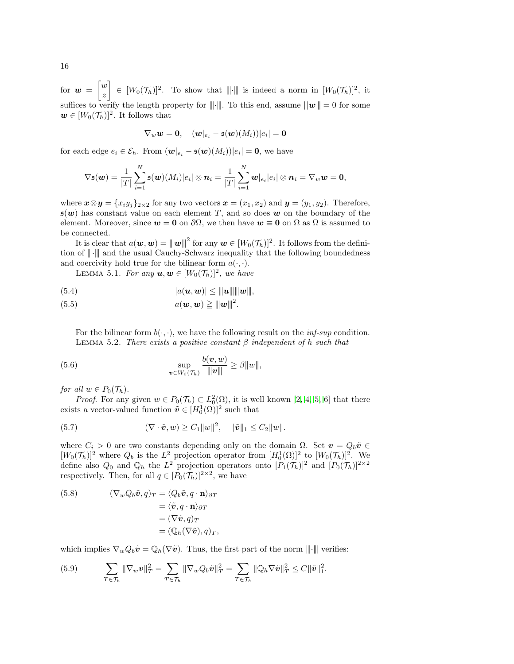for  $\boldsymbol{w} = \begin{bmatrix} w \\ w \end{bmatrix}$ z  $\Big] \in [W_0(\mathcal{T}_h)]^2$ . To show that  $\Vert \cdot \Vert$  is indeed a norm in  $[W_0(\mathcal{T}_h)]^2$ , it suffices to verify the length property for  $\|\cdot\|$ . To this end, assume  $\|\mathbf{w}\| = 0$  for some  $w \in [W_0(\mathcal{T}_h)]^2$ . It follows that

<span id="page-15-2"></span>
$$
\nabla_w \boldsymbol{w} = \boldsymbol{0}, \quad (\boldsymbol{w}|_{e_i} - \mathfrak{s}(\boldsymbol{w})(M_i))|e_i| = \boldsymbol{0}
$$

for each edge  $e_i \in \mathcal{E}_h$ . From  $(\boldsymbol{w}|_{e_i} - \mathfrak{s}(\boldsymbol{w})(M_i))|e_i| = 0$ , we have

$$
\nabla \mathfrak{s}(\boldsymbol{w}) = \frac{1}{|T|} \sum_{i=1}^N \mathfrak{s}(\boldsymbol{w})(M_i) |e_i| \otimes \boldsymbol{n}_i = \frac{1}{|T|} \sum_{i=1}^N \boldsymbol{w}|e_i| \otimes \boldsymbol{n}_i = \nabla_{\boldsymbol{w}} \boldsymbol{w} = \boldsymbol{0},
$$

where  $\mathbf{x} \otimes \mathbf{y} = \{x_i y_j\}_{2 \times 2}$  for any two vectors  $\mathbf{x} = (x_1, x_2)$  and  $\mathbf{y} = (y_1, y_2)$ . Therefore,  $\mathfrak{s}(\boldsymbol{w})$  has constant value on each element T, and so does w on the boundary of the element. Moreover, since  $w = 0$  on  $\partial\Omega$ , we then have  $w \equiv 0$  on  $\Omega$  as  $\Omega$  is assumed to be connected.

It is clear that  $a(\boldsymbol{w}, \boldsymbol{w}) = ||\|\boldsymbol{w}\||^2$  for any  $\boldsymbol{w} \in [W_0(\mathcal{T}_h)]^2$ . It follows from the definition of  $\|\cdot\|$  and the usual Cauchy-Schwarz inequality that the following boundedness and coercivity hold true for the bilinear form  $a(\cdot, \cdot)$ .

<span id="page-15-5"></span>LEMMA 5.1. For any  $u, w \in [W_0(\mathcal{T}_h)]^2$ , we have

$$
(5.4) \t\t |a(\boldsymbol{u},\boldsymbol{w})| \leq ||\boldsymbol{u}|| \, ||\boldsymbol{w}||,
$$

$$
(5.5) \t a(\boldsymbol{w},\boldsymbol{w}) \geq ||\!|\boldsymbol{w}||^2.
$$

<span id="page-15-6"></span><span id="page-15-3"></span>For the bilinear form  $b(\cdot, \cdot)$ , we have the following result on the *inf-sup* condition. LEMMA 5.2. There exists a positive constant  $\beta$  independent of h such that

(5.6) 
$$
\sup_{\boldsymbol{v}\in W_0(\mathcal{T}_h)}\frac{b(\boldsymbol{v},w)}{\|\boldsymbol{v}\|}\geq \beta\|w\|,
$$

for all  $w \in P_0(\mathcal{T}_h)$ .

*Proof.* For any given  $w \in P_0(\mathcal{T}_h) \subset L_0^2(\Omega)$ , it is well known [\[2,](#page-31-15) [4,](#page-31-16) [5,](#page-31-17) [6\]](#page-31-18) that there exists a vector-valued function  $\tilde{\boldsymbol{v}} \in [H_0^1(\Omega)]^2$  such that

<span id="page-15-1"></span>(5.7) 
$$
(\nabla \cdot \tilde{\bm{v}}, w) \ge C_1 \|w\|^2, \quad \|\tilde{\bm{v}}\|_1 \le C_2 \|w\|.
$$

where  $C_i > 0$  are two constants depending only on the domain  $\Omega$ . Set  $\mathbf{v} = Q_b \tilde{\mathbf{v}} \in$  $[W_0(\mathcal{T}_h)]^2$  where  $Q_b$  is the  $L^2$  projection operator from  $[H_0^1(\Omega)]^2$  to  $[W_0(\mathcal{T}_h)]^2$ . We define also  $Q_0$  and  $\mathbb{Q}_h$  the  $L^2$  projection operators onto  $[P_1(\mathcal{T}_h)]^2$  and  $[P_0(\mathcal{T}_h)]^{2\times 2}$ respectively. Then, for all  $q \in [P_0(\mathcal{T}_h)]^{2 \times 2}$ , we have

<span id="page-15-4"></span>(5.8) 
$$
(\nabla_w Q_b \tilde{\mathbf{v}}, q)_T = \langle Q_b \tilde{\mathbf{v}}, q \cdot \mathbf{n} \rangle_{\partial T}
$$

$$
= \langle \tilde{\mathbf{v}}, q \cdot \mathbf{n} \rangle_{\partial T}
$$

$$
= (\nabla \tilde{\mathbf{v}}, q)_T
$$

$$
= (\mathbb{Q}_h (\nabla \tilde{\mathbf{v}}), q)_T,
$$

which implies  $\nabla_w Q_b \tilde{\boldsymbol{v}} = \mathbb{Q}_h(\nabla \tilde{\boldsymbol{v}})$ . Thus, the first part of the norm  $\|\cdot\|$  verifies:

<span id="page-15-0"></span>(5.9) 
$$
\sum_{T \in \mathcal{T}_h} \|\nabla_w \boldsymbol{v}\|_T^2 = \sum_{T \in \mathcal{T}_h} \|\nabla_w Q_b \tilde{\boldsymbol{v}}\|_T^2 = \sum_{T \in \mathcal{T}_h} \|\mathbb{Q}_h \nabla \tilde{\boldsymbol{v}}\|_T^2 \leq C \|\tilde{\boldsymbol{v}}\|_1^2.
$$

16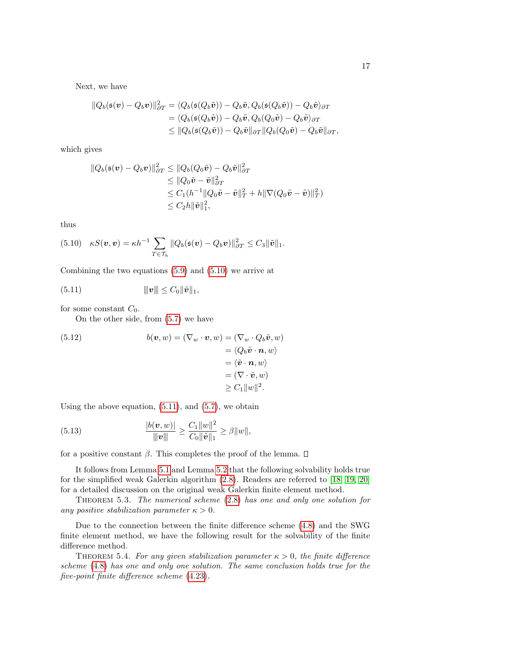Next, we have

$$
\|Q_b(\mathfrak{s}(\boldsymbol{v}) - Q_b \boldsymbol{v})\|^2_{\partial T} = \langle Q_b(\mathfrak{s}(Q_b \tilde{\boldsymbol{v}})) - Q_b \tilde{\boldsymbol{v}}, Q_b(\mathfrak{s}(Q_b \tilde{\boldsymbol{v}})) - Q_b \tilde{\boldsymbol{v}} \rangle_{\partial T}
$$
  
\n
$$
= \langle Q_b(\mathfrak{s}(Q_b \tilde{\boldsymbol{v}})) - Q_b \tilde{\boldsymbol{v}}, Q_b(Q_0 \tilde{\boldsymbol{v}}) - Q_b \tilde{\boldsymbol{v}} \rangle_{\partial T}
$$
  
\n
$$
\leq \|Q_b(\mathfrak{s}(Q_b \tilde{\boldsymbol{v}})) - Q_b \tilde{\boldsymbol{v}}\|_{\partial T} \|Q_b(Q_0 \tilde{\boldsymbol{v}}) - Q_b \tilde{\boldsymbol{v}}\|_{\partial T},
$$

which gives

$$
\|Q_b(\mathfrak{s}(\mathbf{v}) - Q_b \mathbf{v})\|_{\partial T}^2 \le \|Q_b(Q_0 \tilde{\mathbf{v}}) - Q_b \tilde{\mathbf{v}}\|_{\partial T}^2
$$
  
\n
$$
\le \|Q_0 \tilde{\mathbf{v}} - \tilde{\mathbf{v}}\|_{\partial T}^2
$$
  
\n
$$
\le C_1 (h^{-1} \|Q_0 \tilde{\mathbf{v}} - \tilde{\mathbf{v}}\|_T^2 + h \|\nabla (Q_0 \tilde{\mathbf{v}} - \tilde{\mathbf{v}})\|_T^2)
$$
  
\n
$$
\le C_2 h \|\tilde{\mathbf{v}}\|_1^2,
$$

thus

<span id="page-16-0"></span>
$$
(5.10) \quad \kappa S(\boldsymbol{v},\boldsymbol{v}) = \kappa h^{-1} \sum_{T \in \mathcal{T}_h} ||Q_b(\mathfrak{s}(\boldsymbol{v}) - Q_b \boldsymbol{v})||_{\partial T}^2 \leq C_3 ||\tilde{\boldsymbol{v}}||_1.
$$

Combining the two equations [\(5.9\)](#page-15-0) and [\(5.10\)](#page-16-0) we arrive at

(5.11) 
$$
\|v\| \leq C_0 \|\tilde{v}\|_1,
$$

for some constant  $C_0$ .

<span id="page-16-1"></span>On the other side, from [\(5.7\)](#page-15-1) we have

(5.12) 
$$
b(\mathbf{v}, w) = (\nabla_w \cdot \mathbf{v}, w) = (\nabla_w \cdot Q_b \tilde{\mathbf{v}}, w) = \langle Q_b \tilde{\mathbf{v}} \cdot \mathbf{n}, w \rangle = \langle \tilde{\mathbf{v}} \cdot \mathbf{n}, w \rangle = (\nabla \cdot \tilde{\mathbf{v}}, w) \ge C_1 ||w||^2.
$$

Using the above equation,  $(5.11)$ , and  $(5.7)$ , we obtain

(5.13) 
$$
\frac{|b(v, w)|}{\|v\|} \geq \frac{C_1 \|w\|^2}{C_0 \|\tilde{v}\|_1} \geq \beta \|w\|,
$$

for a positive constant  $\beta$ . This completes the proof of the lemma.  $\square$ 

It follows from Lemma [5.1](#page-15-2) and Lemma [5.2](#page-15-3) that the following solvability holds true for the simplified weak Galerkin algorithm [\(2.8\)](#page-3-1). Readers are referred to [\[18,](#page-31-1) [19,](#page-31-2) [20\]](#page-31-0) for a detailed discussion on the original weak Galerkin finite element method.

THEOREM 5.3. The numerical scheme  $(2.8)$  has one and only one solution for any positive stabilization parameter  $\kappa > 0$ .

Due to the connection between the finite difference scheme [\(4.8\)](#page-10-0) and the SWG finite element method, we have the following result for the solvability of the finite difference method.

THEOREM 5.4. For any given stabilization parameter  $\kappa > 0$ , the finite difference scheme [\(4.8\)](#page-10-0) has one and only one solution. The same conclusion holds true for the five-point finite difference scheme [\(4.23\)](#page-13-1).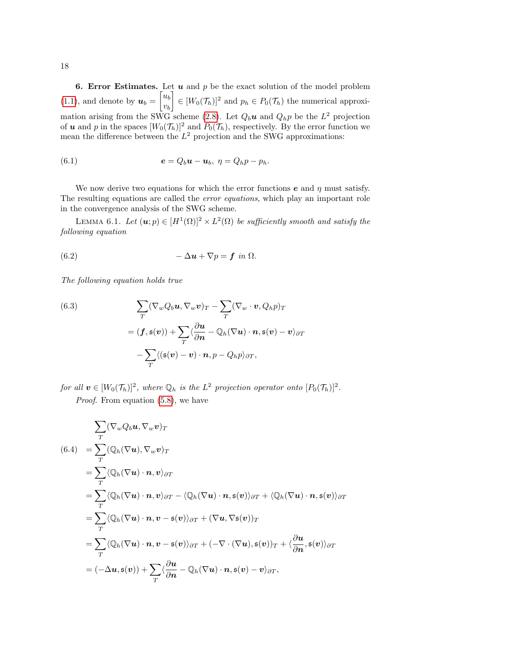<span id="page-17-0"></span>6. Error Estimates. Let  $u$  and  $p$  be the exact solution of the model problem  $(1.1)$ , and denote by  $u_b = \begin{bmatrix} u_b \\ u_c \end{bmatrix}$  $v_b$  $\Big] \in [W_0(\mathcal{T}_h)]^2$  and  $p_h \in P_0(\mathcal{T}_h)$  the numerical approxi-mation arising from the SWG scheme [\(2.8\)](#page-3-1). Let  $Q_b \mathbf{u}$  and  $Q_h p$  be the  $L^2$  projection of **u** and p in the spaces  $[W_0(\mathcal{T}_h)]^2$  and  $P_0(\mathcal{T}_h)$ , respectively. By the error function we mean the difference between the  $L^2$  projection and the SWG approximations:

<span id="page-17-3"></span>(6.1) 
$$
\mathbf{e} = Q_b \mathbf{u} - \mathbf{u}_b, \ \eta = Q_h p - p_h.
$$

We now derive two equations for which the error functions  $e$  and  $\eta$  must satisfy. The resulting equations are called the error equations, which play an important role in the convergence analysis of the SWG scheme.

LEMMA 6.1. Let  $(\mathbf{u};p) \in [H^1(\Omega)]^2 \times L^2(\Omega)$  be sufficiently smooth and satisfy the following equation

<span id="page-17-1"></span>(6.2) 
$$
-\Delta u + \nabla p = \mathbf{f} \text{ in } \Omega.
$$

The following equation holds true

<span id="page-17-4"></span>(6.3)  
\n
$$
\sum_{T} (\nabla_{w} Q_{b} \mathbf{u}, \nabla_{w} \mathbf{v})_{T} - \sum_{T} (\nabla_{w} \cdot \mathbf{v}, Q_{h} p)_{T}
$$
\n
$$
= (\mathbf{f}, \mathfrak{s}(\mathbf{v})) + \sum_{T} \langle \frac{\partial \mathbf{u}}{\partial \mathbf{n}} - \mathbb{Q}_{h} (\nabla \mathbf{u}) \cdot \mathbf{n}, \mathfrak{s}(\mathbf{v}) - \mathbf{v} \rangle_{\partial T}
$$
\n
$$
- \sum_{T} \langle (\mathfrak{s}(\mathbf{v}) - \mathbf{v}) \cdot \mathbf{n}, p - Q_{h} p \rangle_{\partial T},
$$

for all  $\boldsymbol{v} \in [W_0(\mathcal{T}_h)]^2$ , where  $\mathbb{Q}_h$  is the  $L^2$  projection operator onto  $[P_0(\mathcal{T}_h)]^2$ .

Proof. From equation  $(5.8)$ , we have

<span id="page-17-2"></span>
$$
\sum_{T} (\nabla_{w} Q_{b} \mathbf{u}, \nabla_{w} \mathbf{v})_{T}
$$
\n(6.4) = 
$$
\sum_{T} (\mathbb{Q}_{h}(\nabla \mathbf{u}), \nabla_{w} \mathbf{v})_{T}
$$
\n= 
$$
\sum_{T} \langle \mathbb{Q}_{h}(\nabla \mathbf{u}) \cdot \mathbf{n}, \mathbf{v} \rangle_{\partial T}
$$
\n= 
$$
\sum_{T} \langle \mathbb{Q}_{h}(\nabla \mathbf{u}) \cdot \mathbf{n}, \mathbf{v} \rangle_{\partial T} - \langle \mathbb{Q}_{h}(\nabla \mathbf{u}) \cdot \mathbf{n}, \mathfrak{s}(\mathbf{v}) \rangle_{\partial T} + \langle \mathbb{Q}_{h}(\nabla \mathbf{u}) \cdot \mathbf{n}, \mathfrak{s}(\mathbf{v}) \rangle_{\partial T}
$$
\n= 
$$
\sum_{T} \langle \mathbb{Q}_{h}(\nabla \mathbf{u}) \cdot \mathbf{n}, \mathbf{v} - \mathfrak{s}(\mathbf{v}) \rangle_{\partial T} + (\nabla \mathbf{u}, \nabla \mathfrak{s}(\mathbf{v}))_{T}
$$
\n= 
$$
\sum_{T} \langle \mathbb{Q}_{h}(\nabla \mathbf{u}) \cdot \mathbf{n}, \mathbf{v} - \mathfrak{s}(\mathbf{v}) \rangle_{\partial T} + (-\nabla \cdot (\nabla \mathbf{u}), \mathfrak{s}(\mathbf{v}))_{T} + \langle \frac{\partial \mathbf{u}}{\partial \mathbf{n}}, \mathfrak{s}(\mathbf{v}) \rangle_{\partial T}
$$
\n= 
$$
(-\Delta \mathbf{u}, \mathfrak{s}(\mathbf{v})) + \sum_{T} \langle \frac{\partial \mathbf{u}}{\partial \mathbf{n}} - \mathbb{Q}_{h}(\nabla \mathbf{u}) \cdot \mathbf{n}, \mathfrak{s}(\mathbf{v}) - \mathbf{v} \rangle_{\partial T},
$$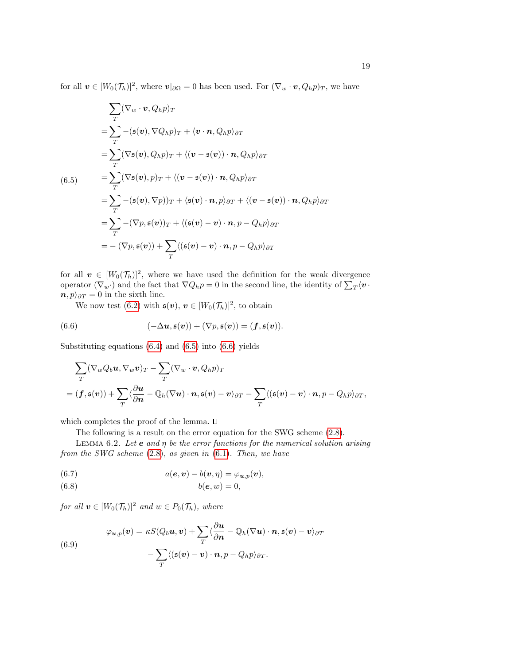for all  $v \in [W_0(\mathcal{T}_h)]^2$ , where  $v|_{\partial\Omega} = 0$  has been used. For  $(\nabla_w \cdot v, Q_h p)_T$ , we have

<span id="page-18-0"></span>
$$
\sum_{T} (\nabla_{w} \cdot v, Q_{h}p)_{T}
$$
\n
$$
= \sum_{T} -(\mathfrak{s}(v), \nabla Q_{h}p)_{T} + \langle v \cdot n, Q_{h}p \rangle_{\partial T}
$$
\n
$$
= \sum_{T} (\nabla \mathfrak{s}(v), Q_{h}p)_{T} + \langle (v - \mathfrak{s}(v)) \cdot n, Q_{h}p \rangle_{\partial T}
$$
\n
$$
= \sum_{T} (\nabla \mathfrak{s}(v), p)_{T} + \langle (v - \mathfrak{s}(v)) \cdot n, Q_{h}p \rangle_{\partial T}
$$
\n
$$
= \sum_{T} -(\mathfrak{s}(v), \nabla p)_{T} + \langle \mathfrak{s}(v) \cdot n, p \rangle_{\partial T} + \langle (v - \mathfrak{s}(v)) \cdot n, Q_{h}p \rangle_{\partial T}
$$
\n
$$
= \sum_{T} -(\nabla p, \mathfrak{s}(v))_{T} + \langle (\mathfrak{s}(v) - v) \cdot n, p - Q_{h}p \rangle_{\partial T}
$$
\n
$$
= -(\nabla p, \mathfrak{s}(v)) + \sum_{T} \langle (\mathfrak{s}(v) - v) \cdot n, p - Q_{h}p \rangle_{\partial T}
$$

for all  $v \in [W_0(\mathcal{T}_h)]^2$ , where we have used the definition for the weak divergence operator  $(\nabla_w \cdot)$  and the fact that  $\nabla Q_h p = 0$  in the second line, the identity of  $\sum_T \langle v \cdot \rangle$  $n, p\rangle_{\partial T} = 0$  in the sixth line.

<span id="page-18-1"></span>We now test [\(6.2\)](#page-17-1) with  $\mathfrak{s}(v), v \in [W_0(\mathcal{T}_h)]^2$ , to obtain

(6.6) 
$$
(-\Delta u, \mathfrak{s}(v)) + (\nabla p, \mathfrak{s}(v)) = (\mathbf{f}, \mathfrak{s}(v)).
$$

Substituting equations [\(6.4\)](#page-17-2) and [\(6.5\)](#page-18-0) into [\(6.6\)](#page-18-1) yields

$$
\sum_{T} (\nabla_{w} Q_{b} \boldsymbol{u}, \nabla_{w} \boldsymbol{v})_{T} - \sum_{T} (\nabla_{w} \cdot \boldsymbol{v}, Q_{h} p)_{T}
$$
\n
$$
= (\boldsymbol{f}, \mathfrak{s}(\boldsymbol{v})) + \sum_{T} \langle \frac{\partial \boldsymbol{u}}{\partial \boldsymbol{n}} - \mathbb{Q}_{h} (\nabla \boldsymbol{u}) \cdot \boldsymbol{n}, \mathfrak{s}(\boldsymbol{v}) - \boldsymbol{v} \rangle_{\partial T} - \sum_{T} \langle (\mathfrak{s}(\boldsymbol{v}) - \boldsymbol{v}) \cdot \boldsymbol{n}, p - Q_{h} p \rangle_{\partial T},
$$

which completes the proof of the lemma.  $\square$ 

<span id="page-18-2"></span>The following is a result on the error equation for the SWG scheme [\(2.8\)](#page-3-1).

LEMMA 6.2. Let  $e$  and  $\eta$  be the error functions for the numerical solution arising from the SWG scheme [\(2.8\)](#page-3-1), as given in [\(6.1\)](#page-17-3). Then, we have

(6.7) 
$$
a(\mathbf{e}, \mathbf{v}) - b(\mathbf{v}, \eta) = \varphi_{\mathbf{u},p}(\mathbf{v}),
$$

$$
(6.8) \t b(e, w) = 0,
$$

for all  $\boldsymbol{v} \in [W_0(\mathcal{T}_h)]^2$  and  $w \in P_0(\mathcal{T}_h)$ , where

<span id="page-18-3"></span>(6.9)  

$$
\varphi_{\boldsymbol{u},p}(\boldsymbol{v}) = \kappa S(Q_b \boldsymbol{u}, \boldsymbol{v}) + \sum_T \langle \frac{\partial \boldsymbol{u}}{\partial \boldsymbol{n}} - Q_h (\nabla \boldsymbol{u}) \cdot \boldsymbol{n}, \mathfrak{s}(\boldsymbol{v}) - \boldsymbol{v} \rangle_{\partial T} - \sum_T \langle (\mathfrak{s}(\boldsymbol{v}) - \boldsymbol{v}) \cdot \boldsymbol{n}, p - Q_h p \rangle_{\partial T}.
$$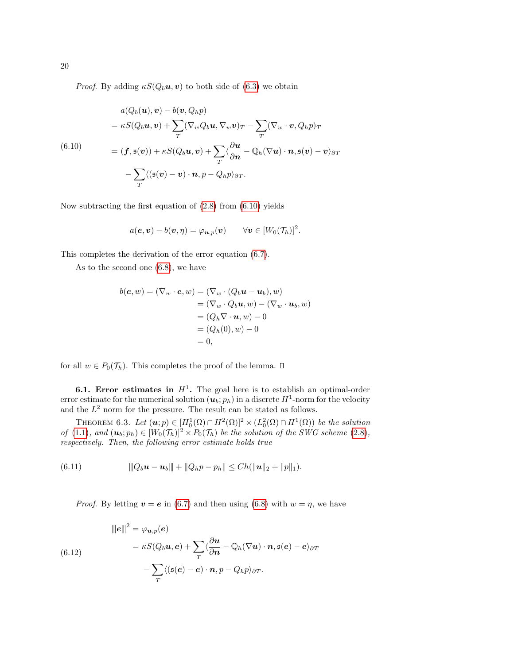*Proof.* By adding  $\kappa S(Q_b u, v)$  to both side of [\(6.3\)](#page-17-4) we obtain

<span id="page-19-0"></span>
$$
a(Q_b(\mathbf{u}), \mathbf{v}) - b(\mathbf{v}, Q_h p)
$$
  
=  $\kappa S(Q_b \mathbf{u}, \mathbf{v}) + \sum_T (\nabla_w Q_b \mathbf{u}, \nabla_w \mathbf{v})_T - \sum_T (\nabla_w \cdot \mathbf{v}, Q_h p)_T$   
(6.10)  
=  $(\mathbf{f}, \mathbf{s}(\mathbf{v})) + \kappa S(Q_b \mathbf{u}, \mathbf{v}) + \sum_T \langle \frac{\partial \mathbf{u}}{\partial \mathbf{n}} - \mathbb{Q}_h (\nabla \mathbf{u}) \cdot \mathbf{n}, \mathbf{s}(\mathbf{v}) - \mathbf{v} \rangle_{\partial T}$   

$$
- \sum_T \langle (\mathbf{s}(\mathbf{v}) - \mathbf{v}) \cdot \mathbf{n}, p - Q_h p \rangle_{\partial T}.
$$

Now subtracting the first equation of [\(2.8\)](#page-3-1) from [\(6.10\)](#page-19-0) yields

$$
a(\mathbf{e}, \mathbf{v}) - b(\mathbf{v}, \eta) = \varphi_{\mathbf{u},p}(\mathbf{v}) \qquad \forall \mathbf{v} \in [W_0(\mathcal{T}_h)]^2.
$$

This completes the derivation of the error equation [\(6.7\)](#page-18-2).

As to the second one [\(6.8\)](#page-18-2), we have

$$
b(\mathbf{e}, w) = (\nabla_w \cdot \mathbf{e}, w) = (\nabla_w \cdot (Q_b \mathbf{u} - \mathbf{u}_b), w)
$$
  
= (\nabla\_w \cdot Q\_b \mathbf{u}, w) - (\nabla\_w \cdot \mathbf{u}\_b, w)  
= (Q\_h \nabla \cdot \mathbf{u}, w) - 0  
= (Q\_h(0), w) - 0  
= 0,

for all  $w \in P_0(\mathcal{T}_h)$ . This completes the proof of the lemma.  $\square$ 

**6.1.** Error estimates in  $H^1$ . The goal here is to establish an optimal-order error estimate for the numerical solution  $(\boldsymbol{u}_b; p_h)$  in a discrete  $H^1$ -norm for the velocity and the  $L^2$  norm for the pressure. The result can be stated as follows.

<span id="page-19-3"></span>THEOREM 6.3. Let  $(\mathbf{u};p) \in [H_0^1(\Omega) \cap H^2(\Omega)]^2 \times (L_0^2(\Omega) \cap H^1(\Omega))$  be the solution of [\(1.1\)](#page-0-0), and  $(\mathbf{u}_b; p_h) \in [W_0(\mathcal{T}_h)]^2 \times P_0(\mathcal{T}_h)$  be the solution of the SWG scheme [\(2.8\)](#page-3-1), respectively. Then, the following error estimate holds true

(6.11) 
$$
\|Q_b\mathbf{u}-\mathbf{u}_b\|+\|Q_h p-p_h\|\leq Ch(\|\mathbf{u}\|_2+\|p\|_1).
$$

<span id="page-19-2"></span>*Proof.* By letting  $v = e$  in [\(6.7\)](#page-18-2) and then using [\(6.8\)](#page-18-2) with  $w = \eta$ , we have

<span id="page-19-1"></span>
$$
\|\boldsymbol{e}\|^2 = \varphi_{\boldsymbol{u},p}(\boldsymbol{e})
$$
  
\n
$$
= \kappa S(Q_b \boldsymbol{u}, \boldsymbol{e}) + \sum_T \langle \frac{\partial \boldsymbol{u}}{\partial \boldsymbol{n}} - \mathbb{Q}_h(\nabla \boldsymbol{u}) \cdot \boldsymbol{n}, \mathfrak{s}(\boldsymbol{e}) - \boldsymbol{e} \rangle_{\partial T}
$$
  
\n
$$
- \sum_T \langle (\mathfrak{s}(\boldsymbol{e}) - \boldsymbol{e}) \cdot \boldsymbol{n}, \mathfrak{p} - Q_h \mathfrak{p} \rangle_{\partial T}.
$$

20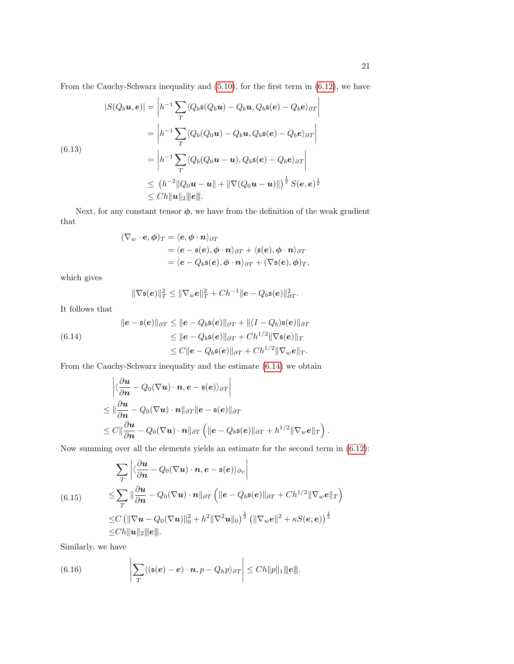From the Cauchy-Schwarz inequality and [\(5.10\)](#page-16-0), for the first term in [\(6.12\)](#page-19-1), we have

<span id="page-20-1"></span>
$$
|S(Q_b u, e)| = \left| h^{-1} \sum_T \langle Q_b s(Q_b u) - Q_b u, Q_b s(e) - Q_b e \rangle_{\partial T} \right|
$$
  
\n
$$
= \left| h^{-1} \sum_T \langle Q_b(Q_0 u) - Q_b u, Q_b s(e) - Q_b e \rangle_{\partial T} \right|
$$
  
\n(6.13)  
\n
$$
= \left| h^{-1} \sum_T \langle Q_b(Q_0 u - u), Q_b s(e) - Q_b e \rangle_{\partial T} \right|
$$
  
\n
$$
\leq (h^{-2} || Q_0 u - u || + || \nabla(Q_0 u - u) ||)^{\frac{1}{2}} S(e, e)^{\frac{1}{2}}
$$
  
\n
$$
\leq C h ||u||_2 ||e||.
$$

Next, for any constant tensor  $\phi$ , we have from the definition of the weak gradient that

$$
\begin{aligned} (\nabla_w \cdot \boldsymbol{e}, \boldsymbol{\phi})_T &= \langle \boldsymbol{e}, \boldsymbol{\phi} \cdot \boldsymbol{n} \rangle_{\partial T} \\ &= \langle \boldsymbol{e} - \mathfrak{s}(\boldsymbol{e}), \boldsymbol{\phi} \cdot \boldsymbol{n} \rangle_{\partial T} + \langle \mathfrak{s}(\boldsymbol{e}), \boldsymbol{\phi} \cdot \boldsymbol{n} \rangle_{\partial T} \\ &= \langle \boldsymbol{e} - Q_b \mathfrak{s}(\boldsymbol{e}), \boldsymbol{\phi} \cdot \boldsymbol{n} \rangle_{\partial T} + (\nabla \mathfrak{s}(\boldsymbol{e}), \boldsymbol{\phi})_T, \end{aligned}
$$

which gives

$$
\|\nabla \mathfrak{s}(e)\|_{T}^2 \leq \|\nabla_w e\|_{T}^2 + Ch^{-1} \|e - Q_b \mathfrak{s}(e)\|_{\partial T}^2.
$$

It follows that

<span id="page-20-0"></span>(6.14) 
$$
||e - \mathfrak{s}(e)||_{\partial T} \le ||e - Q_b \mathfrak{s}(e)||_{\partial T} + ||(I - Q_b) \mathfrak{s}(e)||_{\partial T}
$$

$$
\le ||e - Q_b \mathfrak{s}(e)||_{\partial T} + Ch^{1/2} ||\nabla \mathfrak{s}(e)||_T
$$

$$
\le C ||e - Q_b \mathfrak{s}(e)||_{\partial T} + Ch^{1/2} ||\nabla_w e||_T.
$$

From the Cauchy-Schwarz inequality and the estimate [\(6.14\)](#page-20-0) we obtain

$$
\begin{aligned}\n&\left|\langle \frac{\partial \boldsymbol{u}}{\partial \boldsymbol{n}} - Q_0(\nabla \boldsymbol{u}) \cdot \boldsymbol{n}, \boldsymbol{e} - \mathfrak{s}(\boldsymbol{e}) \rangle_{\partial T}\right| \\
&\leq \|\frac{\partial \boldsymbol{u}}{\partial \boldsymbol{n}} - Q_0(\nabla \boldsymbol{u}) \cdot \boldsymbol{n}\|_{\partial T} \|\boldsymbol{e} - \mathfrak{s}(\boldsymbol{e})\|_{\partial T} \\
&\leq C \|\frac{\partial \boldsymbol{u}}{\partial \boldsymbol{n}} - Q_0(\nabla \boldsymbol{u}) \cdot \boldsymbol{n}\|_{\partial T} \left( \|\boldsymbol{e} - Q_b \mathfrak{s}(\boldsymbol{e})\|_{\partial T} + h^{1/2} \|\nabla_w \boldsymbol{e}\|_T \right).\n\end{aligned}
$$

Now summing over all the elements yields an estimate for the second term in [\(6.12\)](#page-19-1):

<span id="page-20-2"></span>
$$
\sum_{T} \left| \langle \frac{\partial \boldsymbol{u}}{\partial n} - Q_0(\nabla \boldsymbol{u}) \cdot \boldsymbol{n}, e - \mathfrak{s}(e) \rangle_{\partial_T} \right|
$$
\n
$$
\leq \sum_{T} \|\frac{\partial \boldsymbol{u}}{\partial n} - Q_0(\nabla \boldsymbol{u}) \cdot \boldsymbol{n}\|_{\partial T} \left( \|\boldsymbol{e} - Q_b \mathfrak{s}(e) \|_{\partial T} + Ch^{1/2} \|\nabla_w \boldsymbol{e}\|_{T} \right)
$$
\n
$$
\leq C \left( \|\nabla \boldsymbol{u} - Q_0(\nabla \boldsymbol{u})\|_0^2 + h^2 \|\nabla^2 \boldsymbol{u}\|_0 \right)^{\frac{1}{2}} \left( \|\nabla_w \boldsymbol{e}\|^2 + \kappa S(\boldsymbol{e}, \boldsymbol{e}) \right)^{\frac{1}{2}}
$$
\n
$$
\leq Ch \|\boldsymbol{u}\|_2 \|\boldsymbol{e}\|.
$$

Similarly, we have

<span id="page-20-3"></span>(6.16) 
$$
\left|\sum_{T}\langle (\mathfrak{s}(e)-e)\cdot \boldsymbol{n},p-Q_hp\rangle_{\partial T}\right|\leq Ch\|p\|_1\|e\|.
$$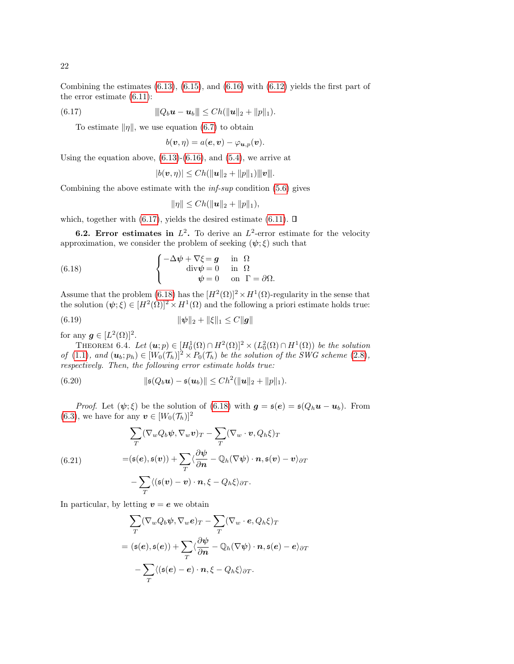(6.17) 
$$
\|Q_b\mathbf{u}-\mathbf{u}_b\| \leq Ch(\|\mathbf{u}\|_2+\|p\|_1).
$$

To estimate  $\|\eta\|$ , we use equation [\(6.7\)](#page-18-2) to obtain

<span id="page-21-0"></span>
$$
b(\boldsymbol{v},\eta) = a(\boldsymbol{e},\boldsymbol{v}) - \varphi_{\boldsymbol{u},p}(\boldsymbol{v}).
$$

Using the equation above,  $(6.13)-(6.16)$  $(6.13)-(6.16)$ , and  $(5.4)$ , we arrive at

$$
|b(\boldsymbol{v},\eta)|\leq Ch(\|\boldsymbol{u}\|_2+\|p\|_1)\|\|\boldsymbol{v}\|.
$$

Combining the above estimate with the  $\inf\text{-}sup$  condition [\(5.6\)](#page-15-6) gives

<span id="page-21-2"></span><span id="page-21-1"></span>
$$
\|\eta\| \le Ch(\|\boldsymbol{u}\|_2 + \|p\|_1),
$$

which, together with [\(6.17\)](#page-21-0), yields the desired estimate [\(6.11\)](#page-19-2).  $\Box$ 

**6.2.** Error estimates in  $L^2$ . To derive an  $L^2$ -error estimate for the velocity approximation, we consider the problem of seeking  $(\psi; \xi)$  such that

(6.18) 
$$
\begin{cases}\n-\Delta \psi + \nabla \xi = \mathbf{g} & \text{in } \Omega \\
\text{div} \psi = 0 & \text{in } \Omega \\
\psi = 0 & \text{on } \Gamma = \partial \Omega.\n\end{cases}
$$

Assume that the problem [\(6.18\)](#page-21-1) has the  $[H^2(\Omega)]^2 \times H^1(\Omega)$ -regularity in the sense that the solution  $(\psi; \xi) \in [H^2(\Omega)]^2 \times H^1(\Omega)$  and the following a priori estimate holds true:

(6.19) 
$$
\|\psi\|_2 + \|\xi\|_1 \le C \|g\|
$$

for any  $g \in [L^2(\Omega)]^2$ .

THEOREM 6.4. Let  $(\mathbf{u};p) \in [H_0^1(\Omega) \cap H^2(\Omega)]^2 \times (L_0^2(\Omega) \cap H^1(\Omega))$  be the solution of [\(1.1\)](#page-0-0), and  $(\mathbf{u}_b; p_h) \in [W_0(\mathcal{T}_h)]^2 \times P_0(\mathcal{T}_h)$  be the solution of the SWG scheme [\(2.8\)](#page-3-1), respectively. Then, the following error estimate holds true:

<span id="page-21-3"></span>(6.20) 
$$
\|\mathfrak{s}(Q_b u) - \mathfrak{s}(u_b)\| \leq Ch^2(\|u\|_2 + \|p\|_1).
$$

*Proof.* Let  $(\psi; \xi)$  be the solution of [\(6.18\)](#page-21-1) with  $g = \mathfrak{s}(e) = \mathfrak{s}(Q_h u - u_b)$ . From [\(6.3\)](#page-17-4), we have for any  $\mathbf{v} \in [W_0(\mathcal{T}_h)]^2$ 

(6.21) 
$$
\sum_{T} (\nabla_{w} Q_{b} \psi, \nabla_{w} v)_{T} - \sum_{T} (\nabla_{w} \cdot v, Q_{h} \xi)_{T}
$$

$$
= (\mathfrak{s}(e), \mathfrak{s}(v)) + \sum_{T} \langle \frac{\partial \psi}{\partial n} - \mathbb{Q}_{h} (\nabla \psi) \cdot n, \mathfrak{s}(v) - v \rangle_{\partial T}
$$

$$
- \sum_{T} \langle (\mathfrak{s}(v) - v) \cdot n, \xi - Q_{h} \xi \rangle_{\partial T}.
$$

In particular, by letting  $v = e$  we obtain

$$
\sum_{T} (\nabla_{w} Q_{b} \psi, \nabla_{w} e)_{T} - \sum_{T} (\nabla_{w} \cdot e, Q_{h} \xi)_{T}
$$
  
=  $(\mathfrak{s}(e), \mathfrak{s}(e)) + \sum_{T} \langle \frac{\partial \psi}{\partial n} - \mathbb{Q}_{h} (\nabla \psi) \cdot n, \mathfrak{s}(e) - e \rangle_{\partial T}$   

$$
- \sum_{T} \langle (\mathfrak{s}(e) - e) \cdot n, \xi - Q_{h} \xi \rangle_{\partial T}.
$$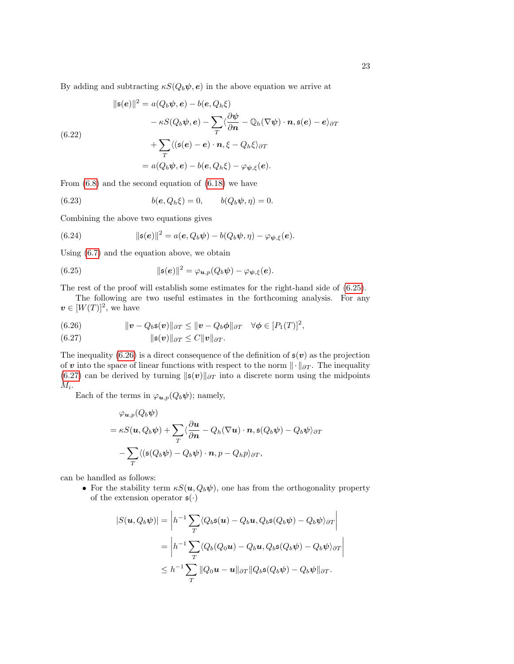By adding and subtracting  $\kappa S(Q_b\psi, e)$  in the above equation we arrive at

$$
\|\mathfrak{s}(e)\|^2 = a(Q_b\psi, e) - b(e, Q_h\xi)
$$

$$
- \kappa S(Q_b\psi, e) - \sum_T \langle \frac{\partial \psi}{\partial n} - \mathbb{Q}_h(\nabla\psi) \cdot \mathbf{n}, \mathfrak{s}(e) - e \rangle_{\partial T}
$$

$$
+ \sum_T \langle (\mathfrak{s}(e) - e) \cdot \mathbf{n}, \xi - Q_h\xi \rangle_{\partial T}
$$

$$
= a(Q_b\psi, e) - b(e, Q_h\xi) - \varphi_{\psi, \xi}(e).
$$

From [\(6.8\)](#page-18-2) and the second equation of [\(6.18\)](#page-21-1) we have

(6.23) 
$$
b(e, Q_h \xi) = 0, \qquad b(Q_b \psi, \eta) = 0.
$$

Combining the above two equations gives

(6.24) 
$$
\|\mathfrak{s}(e)\|^2 = a(e, Q_b\psi) - b(Q_b\psi, \eta) - \varphi_{\psi, \xi}(e).
$$

Using [\(6.7\)](#page-18-2) and the equation above, we obtain

<span id="page-22-0"></span>(6.25) 
$$
\|\mathfrak{s}(e)\|^2 = \varphi_{\mathbf{u},p}(Q_b\psi) - \varphi_{\psi,\xi}(e).
$$

The rest of the proof will establish some estimates for the right-hand side of [\(6.25\)](#page-22-0).

The following are two useful estimates in the forthcoming analysis. For any  $v \in [W(T)]^2$ , we have

<span id="page-22-1"></span>(6.26) 
$$
\|v - Q_b \mathfrak{s}(v)\|_{\partial T} \leq \|v - Q_b \phi\|_{\partial T} \quad \forall \phi \in [P_1(T)]^2,
$$

(6.27) ks(v)k∂T ≤ Ckvk∂T .

The inequality [\(6.26\)](#page-22-1) is a direct consequence of the definition of  $\mathfrak{s}(v)$  as the projection of v into the space of linear functions with respect to the norm  $\|\cdot\|_{\partial T}$ . The inequality [\(6.27\)](#page-22-1) can be derived by turning  $\|\mathfrak{s}(v)\|_{\partial T}$  into a discrete norm using the midpoints  $M_i$ .

Each of the terms in  $\varphi_{\boldsymbol{u},p}(Q_b\boldsymbol{\psi})$ ; namely,

$$
\varphi_{\boldsymbol{u},p}(Q_b\boldsymbol{\psi})
$$
  
=  $\kappa S(\boldsymbol{u}, Q_b\boldsymbol{\psi}) + \sum_T \langle \frac{\partial \boldsymbol{u}}{\partial \boldsymbol{n}} - Q_h(\nabla \boldsymbol{u}) \cdot \boldsymbol{n}, \mathfrak{s}(Q_b\boldsymbol{\psi}) - Q_b\boldsymbol{\psi} \rangle_{\partial T}$   
- $\sum_T \langle (\mathfrak{s}(Q_b\boldsymbol{\psi}) - Q_b\boldsymbol{\psi}) \cdot \boldsymbol{n}, p - Q_h p \rangle_{\partial T},$ 

can be handled as follows:

• For the stability term  $\kappa S(\boldsymbol{u}, Q_b \boldsymbol{\psi})$ , one has from the orthogonality property of the extension operator  $\mathfrak{s}(\cdot)$ 

$$
|S(\mathbf{u}, Q_b \psi)| = \left| h^{-1} \sum_T \langle Q_b \mathfrak{s}(\mathbf{u}) - Q_b \mathbf{u}, Q_b \mathfrak{s}(Q_b \psi) - Q_b \psi \rangle_{\partial T} \right|
$$
  
= 
$$
\left| h^{-1} \sum_T \langle Q_b(Q_0 \mathbf{u}) - Q_b \mathbf{u}, Q_b \mathfrak{s}(Q_b \psi) - Q_b \psi \rangle_{\partial T} \right|
$$
  

$$
\leq h^{-1} \sum_T ||Q_0 \mathbf{u} - \mathbf{u}||_{\partial T} ||Q_b \mathfrak{s}(Q_b \psi) - Q_b \psi||_{\partial T}.
$$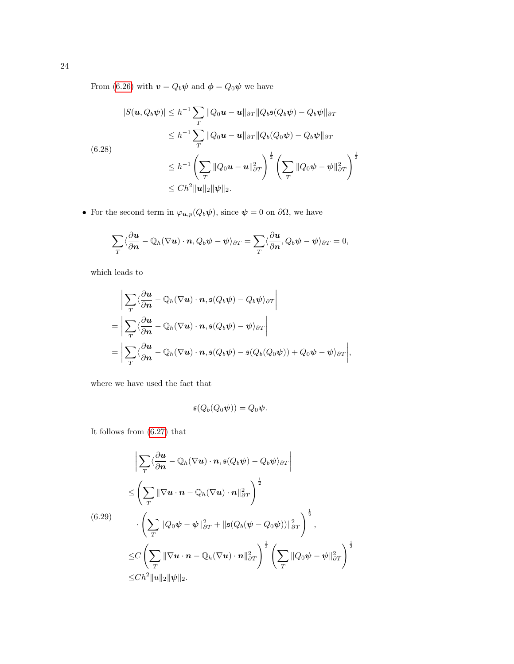From [\(6.26\)](#page-22-1) with  $\boldsymbol{v} = Q_b \boldsymbol{\psi}$  and  $\boldsymbol{\phi} = Q_0 \boldsymbol{\psi}$  we have

<span id="page-23-0"></span>
$$
|S(u, Q_b \psi)| \leq h^{-1} \sum_T ||Q_0 u - u||_{\partial T} ||Q_b s(Q_b \psi) - Q_b \psi||_{\partial T}
$$
  
\n
$$
\leq h^{-1} \sum_T ||Q_0 u - u||_{\partial T} ||Q_b(Q_0 \psi) - Q_b \psi||_{\partial T}
$$
  
\n(6.28)  
\n
$$
\leq h^{-1} \left( \sum_T ||Q_0 u - u||_{\partial T}^2 \right)^{\frac{1}{2}} \left( \sum_T ||Q_0 \psi - \psi||_{\partial T}^2 \right)^{\frac{1}{2}}
$$
  
\n
$$
\leq Ch^2 ||u||_2 ||\psi||_2.
$$

• For the second term in  $\varphi_{u,p}(Q_b\psi)$ , since  $\psi = 0$  on  $\partial\Omega$ , we have

$$
\sum_{T} \langle \frac{\partial \boldsymbol{u}}{\partial \boldsymbol{n}} - \mathbb{Q}_h(\nabla \boldsymbol{u}) \cdot \boldsymbol{n}, Q_b \boldsymbol{\psi} - \boldsymbol{\psi} \rangle_{\partial T} = \sum_{T} \langle \frac{\partial \boldsymbol{u}}{\partial \boldsymbol{n}}, Q_b \boldsymbol{\psi} - \boldsymbol{\psi} \rangle_{\partial T} = 0,
$$

which leads to

$$
\begin{split}\n&\left|\sum_{T}\langle\frac{\partial u}{\partial n}-\mathbb{Q}_{h}(\nabla u)\cdot n,\mathfrak{s}(Q_{b}\psi)-Q_{b}\psi\rangle_{\partial T}\right| \\
&=\left|\sum_{T}\langle\frac{\partial u}{\partial n}-\mathbb{Q}_{h}(\nabla u)\cdot n,\mathfrak{s}(Q_{b}\psi)-\psi\rangle_{\partial T}\right| \\
&=\left|\sum_{T}\langle\frac{\partial u}{\partial n}-\mathbb{Q}_{h}(\nabla u)\cdot n,\mathfrak{s}(Q_{b}\psi)-\mathfrak{s}(Q_{b}(Q_{0}\psi))+Q_{0}\psi-\psi\rangle_{\partial T}\right|,\n\end{split}
$$

where we have used the fact that

$$
\mathfrak{s}(Q_b(Q_0\psi))=Q_0\psi.
$$

It follows from [\(6.27\)](#page-22-1) that

<span id="page-23-1"></span>
$$
\left| \sum_{T} \langle \frac{\partial u}{\partial n} - \mathbb{Q}_h(\nabla u) \cdot n, \mathfrak{s}(Q_b \psi) - Q_b \psi \rangle_{\partial T} \right|
$$
  
\n
$$
\leq \left( \sum_{T} \|\nabla u \cdot n - \mathbb{Q}_h(\nabla u) \cdot n\|_{\partial T}^2 \right)^{\frac{1}{2}}
$$
  
\n(6.29)  
\n
$$
\cdot \left( \sum_{T} \|\mathbb{Q}_0 \psi - \psi\|_{\partial T}^2 + \|\mathfrak{s}(Q_b(\psi - Q_0 \psi))\|_{\partial T}^2 \right)^{\frac{1}{2}},
$$
  
\n
$$
\leq C \left( \sum_{T} \|\nabla u \cdot n - \mathbb{Q}_h(\nabla u) \cdot n\|_{\partial T}^2 \right)^{\frac{1}{2}} \left( \sum_{T} \|Q_0 \psi - \psi\|_{\partial T}^2 \right)^{\frac{1}{2}}
$$
  
\n
$$
\leq Ch^2 \|u\|_2 \|\psi\|_2.
$$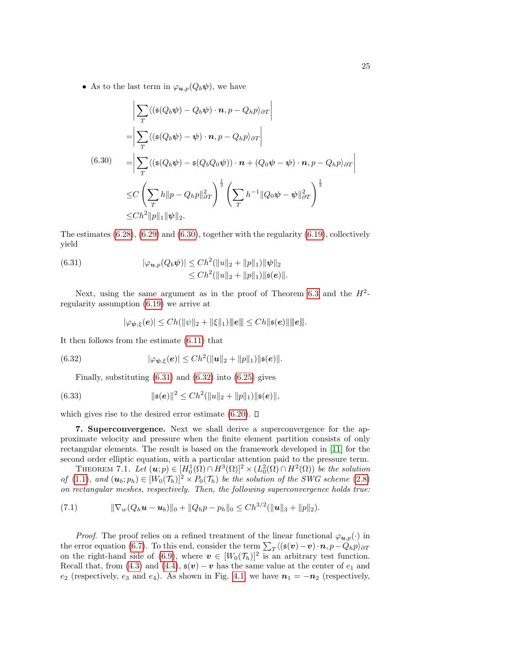• As to the last term in  $\varphi_{\boldsymbol{u},p}(Q_b\boldsymbol{\psi}),$  we have

<span id="page-24-1"></span>
$$
\left| \sum_{T} \langle (\mathfrak{s}(Q_b \psi) - Q_b \psi) \cdot \mathbf{n}, p - Q_h p \rangle_{\partial T} \right|
$$
  
\n
$$
= \left| \sum_{T} \langle (\mathfrak{s}(Q_b \psi) - \psi) \cdot \mathbf{n}, p - Q_h p \rangle_{\partial T} \right|
$$
  
\n(6.30) 
$$
= \left| \sum_{T} \langle (\mathfrak{s}(Q_b \psi) - \mathfrak{s}(Q_b Q_0 \psi)) \cdot \mathbf{n} + (Q_0 \psi - \psi) \cdot \mathbf{n}, p - Q_h p \rangle_{\partial T} \right|
$$
  
\n
$$
\leq C \left( \sum_{T} h \| p - Q_h p \|_{\partial T}^2 \right)^{\frac{1}{2}} \left( \sum_{T} h^{-1} \| Q_0 \psi - \psi \|_{\partial T}^2 \right)^{\frac{1}{2}}
$$
  
\n
$$
\leq C h^2 \| p \|_1 \| \psi \|_2.
$$

The estimates  $(6.28)$ ,  $(6.29)$  and  $(6.30)$ , together with the regularity  $(6.19)$ , collectively yield

(6.31) 
$$
|\varphi_{u,p}(Q_b\psi)| \leq Ch^2(||u||_2 + ||p||_1) ||\psi||_2 \leq Ch^2(||u||_2 + ||p||_1) ||\mathfrak{s}(e)||.
$$

Next, using the same argument as in the proof of Theorem [6.3](#page-19-3) and the  $H^2$ regularity assumption [\(6.19\)](#page-21-2) we arrive at

<span id="page-24-3"></span><span id="page-24-2"></span>
$$
|\varphi_{\psi,\xi}(e)| \leq Ch(||\psi||_2 + ||\xi||_1) ||\|e\|| \leq Ch ||\mathfrak{s}(e)||\| \|e\|.
$$

It then follows from the estimate [\(6.11\)](#page-19-2) that

(6.32) 
$$
|\varphi_{\psi,\xi}(e)| \leq Ch^2(\|u\|_2 + \|p\|_1) \|\mathfrak{s}(e)\|.
$$

Finally, substituting  $(6.31)$  and  $(6.32)$  into  $(6.25)$  gives

(6.33) 
$$
\|\mathfrak{s}(e)\|^2 \leq Ch^2(\|u\|_2 + \|p\|_1)\|\mathfrak{s}(e)\|,
$$

which gives rise to the desired error estimate [\(6.20\)](#page-21-3).  $\Box$ 

<span id="page-24-0"></span>7. Superconvergence. Next we shall derive a superconvergence for the approximate velocity and pressure when the finite element partition consists of only rectangular elements. The result is based on the framework developed in [\[11\]](#page-31-5) for the second order elliptic equation, with a particular attention paid to the pressure term.

<span id="page-24-5"></span>THEOREM 7.1. Let  $(\mathbf{u};p) \in [H_0^1(\Omega) \cap H^3(\Omega)]^2 \times (L_0^2(\Omega) \cap H^2(\Omega))$  be the solution of [\(1.1\)](#page-0-0), and  $(\mathbf{u}_b; p_h) \in [W_0(\mathcal{T}_h)]^2 \times P_0(\mathcal{T}_h)$  be the solution of the SWG scheme [\(2.8\)](#page-3-1) on rectangular meshes, respectively. Then, the following superconvergence holds true:

<span id="page-24-4"></span>(7.1) 
$$
\|\nabla_w(Q_h\boldsymbol{u}-\boldsymbol{u}_b)\|_0+\|Q_h p-p_h\|_0\leq Ch^{3/2}(\|\boldsymbol{u}\|_3+\|p\|_2).
$$

*Proof.* The proof relies on a refined treatment of the linear functional  $\varphi_{\bm{u},p}(\cdot)$  in the error equation [\(6.7\)](#page-18-2). To this end, consider the term  $\sum_{T} \langle (\mathfrak{s}(v) - v) \cdot n, p - Q_h p \rangle_{\partial T}$ on the right-hand side of [\(6.9\)](#page-18-3), where  $v \in [W_0(\mathcal{T}_h)]^2$  is an arbitrary test function. Recall that, from [\(4.3\)](#page-8-5) and [\(4.4\)](#page-8-4),  $\mathfrak{s}(v) - v$  has the same value at the center of  $e_1$  and  $e_2$  (respectively,  $e_3$  and  $e_4$ ). As shown in Fig. [4.1,](#page-2-1) we have  $n_1 = -n_2$  (respectively,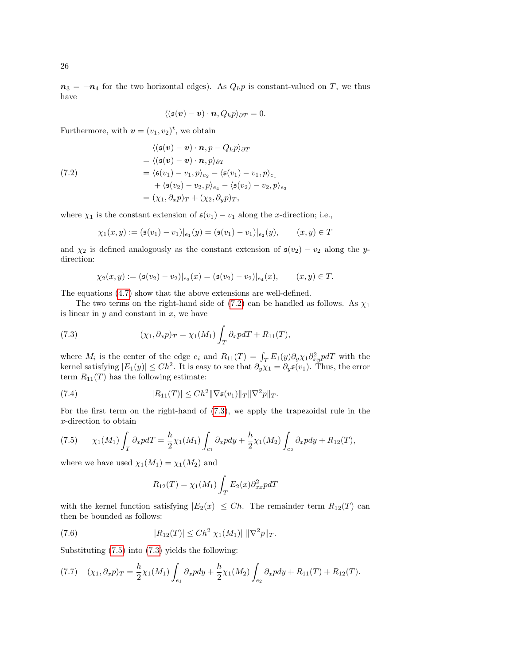$n_3 = -n_4$  for the two horizontal edges). As  $Q_h p$  is constant-valued on T, we thus have

$$
\langle (\mathfrak{s}(\boldsymbol{v}) - \boldsymbol{v}) \cdot \boldsymbol{n}, Q_h p \rangle_{\partial T} = 0.
$$

Furthermore, with  $\mathbf{v} = (v_1, v_2)^t$ , we obtain

<span id="page-25-0"></span>(7.2)  
\n
$$
\langle (\mathfrak{s}(v) - v) \cdot n, p - Q_h p \rangle_{\partial T}
$$
\n
$$
= \langle (\mathfrak{s}(v) - v) \cdot n, p \rangle_{\partial T}
$$
\n
$$
= \langle \mathfrak{s}(v_1) - v_1, p \rangle_{e_2} - \langle \mathfrak{s}(v_1) - v_1, p \rangle_{e_1}
$$
\n
$$
+ \langle \mathfrak{s}(v_2) - v_2, p \rangle_{e_4} - \langle \mathfrak{s}(v_2) - v_2, p \rangle_{e_3}
$$
\n
$$
= (\chi_1, \partial_x p)_T + (\chi_2, \partial_y p)_T,
$$

where  $\chi_1$  is the constant extension of  $\mathfrak{s}(v_1) - v_1$  along the *x*-direction; i.e.,

$$
\chi_1(x,y) := (\mathfrak{s}(v_1) - v_1)|_{e_1}(y) = (\mathfrak{s}(v_1) - v_1)|_{e_2}(y), \qquad (x,y) \in T
$$

and  $\chi_2$  is defined analogously as the constant extension of  $\mathfrak{s}(v_2) - v_2$  along the ydirection:

<span id="page-25-1"></span>
$$
\chi_2(x,y) := (\mathfrak{s}(v_2) - v_2)|_{e_3}(x) = (\mathfrak{s}(v_2) - v_2)|_{e_4}(x), \qquad (x,y) \in T.
$$

The equations [\(4.7\)](#page-9-1) show that the above extensions are well-defined.

The two terms on the right-hand side of  $(7.2)$  can be handled as follows. As  $\chi_1$ is linear in  $y$  and constant in  $x$ , we have

(7.3) 
$$
(\chi_1, \partial_x p)_T = \chi_1(M_1) \int_T \partial_x p dT + R_{11}(T),
$$

where  $M_i$  is the center of the edge  $e_i$  and  $R_{11}(T) = \int_T E_1(y) \partial_y \chi_1 \partial_{xy}^2 p dT$  with the kernel satisfying  $|E_1(y)| \leq Ch^2$ . It is easy to see that  $\partial_y \chi_1 = \partial_y \mathfrak{s}(v_1)$ . Thus, the error term  $R_{11}(T)$  has the following estimate:

(7.4) 
$$
|R_{11}(T)| \leq Ch^2 \|\nabla \mathfrak{s}(v_1)\|_T \|\nabla^2 p\|_T.
$$

For the first term on the right-hand of [\(7.3\)](#page-25-1), we apply the trapezoidal rule in the x-direction to obtain

<span id="page-25-2"></span>(7.5) 
$$
\chi_1(M_1) \int_T \partial_x p dT = \frac{h}{2} \chi_1(M_1) \int_{e_1} \partial_x p dy + \frac{h}{2} \chi_1(M_2) \int_{e_2} \partial_x p dy + R_{12}(T),
$$

where we have used  $\chi_1(M_1) = \chi_1(M_2)$  and

$$
R_{12}(T) = \chi_1(M_1) \int_T E_2(x) \partial_{xx}^2 p dT
$$

with the kernel function satisfying  $|E_2(x)| \leq Ch$ . The remainder term  $R_{12}(T)$  can then be bounded as follows:

(7.6) 
$$
|R_{12}(T)| \leq Ch^2 |\chi_1(M_1)| \, \|\nabla^2 p\|_T.
$$

Substituting [\(7.5\)](#page-25-2) into [\(7.3\)](#page-25-1) yields the following:

<span id="page-25-3"></span>
$$
(7.7) \quad (\chi_1, \partial_x p)_T = \frac{h}{2} \chi_1(M_1) \int_{e_1} \partial_x p dy + \frac{h}{2} \chi_1(M_2) \int_{e_2} \partial_x p dy + R_{11}(T) + R_{12}(T).
$$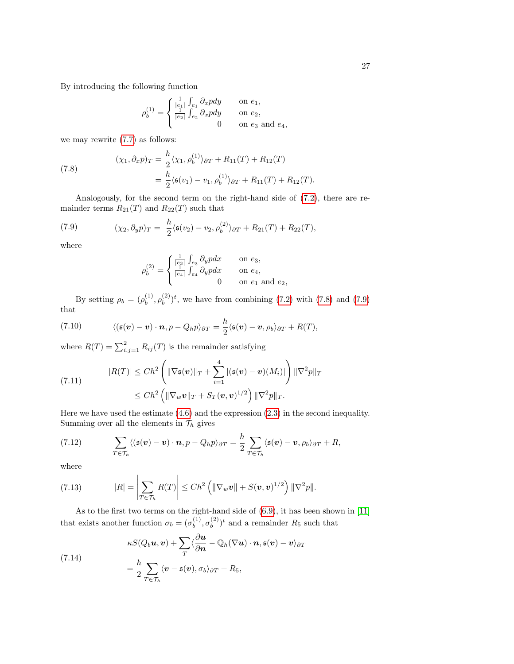By introducing the following function

$$
\rho_b^{(1)}=\left\{\begin{matrix} \frac{1}{|e_1|}\int_{e_1}\partial_x p dy&\text{ on }e_1,\\ \frac{1}{|e_2|}\int_{e_2}\partial_x p dy&\text{ on }e_2,\\ 0&\text{ on }e_3\text{ and }e_4,\\ \end{matrix}\right.
$$

we may rewrite [\(7.7\)](#page-25-3) as follows:

<span id="page-26-0"></span>(7.8) 
$$
(\chi_1, \partial_x p)_T = \frac{h}{2} \langle \chi_1, \rho_b^{(1)} \rangle_{\partial T} + R_{11}(T) + R_{12}(T) = \frac{h}{2} \langle \mathfrak{s}(v_1) - v_1, \rho_b^{(1)} \rangle_{\partial T} + R_{11}(T) + R_{12}(T).
$$

Analogously, for the second term on the right-hand side of [\(7.2\)](#page-25-0), there are remainder terms  $R_{21}(T)$  and  $R_{22}(T)$  such that

<span id="page-26-1"></span>(7.9) 
$$
(\chi_2, \partial_y p)_T = \frac{h}{2} \langle \mathfrak{s}(v_2) - v_2, \rho_b^{(2)} \rangle_{\partial T} + R_{21}(T) + R_{22}(T),
$$

where

$$
\rho_b^{(2)}=\left\{\begin{matrix} \frac{1}{|e_3|}\int_{e_3}\partial_y p dx&\text{ on }e_3,\\ \frac{1}{|e_4|}\int_{e_4}\partial_y p dx&\text{ on }e_4,\\ 0&\text{ on }e_1\text{ and }e_2,\end{matrix}\right.
$$

By setting  $\rho_b = (\rho_b^{(1)})$  $\binom{10}{b}, \rho_b^{(2)}$  $\binom{2}{b}$ ; we have from combining [\(7.2\)](#page-25-0) with [\(7.8\)](#page-26-0) and [\(7.9\)](#page-26-1) that

(7.10) 
$$
\langle (\mathfrak{s}(\boldsymbol{v}) - \boldsymbol{v}) \cdot \boldsymbol{n}, p - Q_h p \rangle_{\partial T} = \frac{h}{2} \langle \mathfrak{s}(\boldsymbol{v}) - \boldsymbol{v}, \rho_b \rangle_{\partial T} + R(T),
$$

where  $R(T) = \sum_{i,j=1}^{2} R_{ij}(T)$  is the remainder satisfying

(7.11) 
$$
|R(T)| \leq Ch^2 \left( \|\nabla \mathfrak{s}(\mathbf{v})\|_T + \sum_{i=1}^4 |(\mathfrak{s}(\mathbf{v}) - \mathbf{v})(M_i)| \right) \|\nabla^2 p\|_T
$$

$$
\leq Ch^2 \left( \|\nabla_w \mathbf{v}\|_T + S_T(\mathbf{v}, \mathbf{v})^{1/2} \right) \|\nabla^2 p\|_T.
$$

Here we have used the estimate [\(4.6\)](#page-9-2) and the expression [\(2.3\)](#page-2-4) in the second inequality. Summing over all the elements in  $\mathcal{T}_h$  gives

<span id="page-26-3"></span>(7.12) 
$$
\sum_{T \in \mathcal{T}_h} \langle (\mathfrak{s}(\boldsymbol{v}) - \boldsymbol{v}) \cdot \boldsymbol{n}, p - Q_h p \rangle_{\partial T} = \frac{h}{2} \sum_{T \in \mathcal{T}_h} \langle \mathfrak{s}(\boldsymbol{v}) - \boldsymbol{v}, \rho_b \rangle_{\partial T} + R,
$$

where

(7.13) 
$$
|R| = \left|\sum_{T \in \mathcal{T}_h} R(T)\right| \leq Ch^2 \left(\left\|\nabla_w \mathbf{v}\right\| + S(\mathbf{v}, \mathbf{v})^{1/2}\right) \|\nabla^2 p\|.
$$

As to the first two terms on the right-hand side of [\(6.9\)](#page-18-3), it has been shown in [\[11\]](#page-31-5) that exists another function  $\sigma_b = (\sigma_b^{(1)})$  $\mathfrak{b}^{(1)}, \mathfrak{\sigma}^{(2)}_b$  $\binom{2}{b}$ <sup>t</sup> and a remainder  $R_5$  such that

<span id="page-26-2"></span>(7.14)  

$$
\kappa S(Q_b \mathbf{u}, \mathbf{v}) + \sum_T \langle \frac{\partial \mathbf{u}}{\partial \mathbf{n}} - \mathbb{Q}_h (\nabla \mathbf{u}) \cdot \mathbf{n}, \mathbf{s}(\mathbf{v}) - \mathbf{v} \rangle_{\partial T}
$$

$$
= \frac{h}{2} \sum_{T \in \mathcal{T}_h} \langle \mathbf{v} - \mathbf{s}(\mathbf{v}), \sigma_b \rangle_{\partial T} + R_5,
$$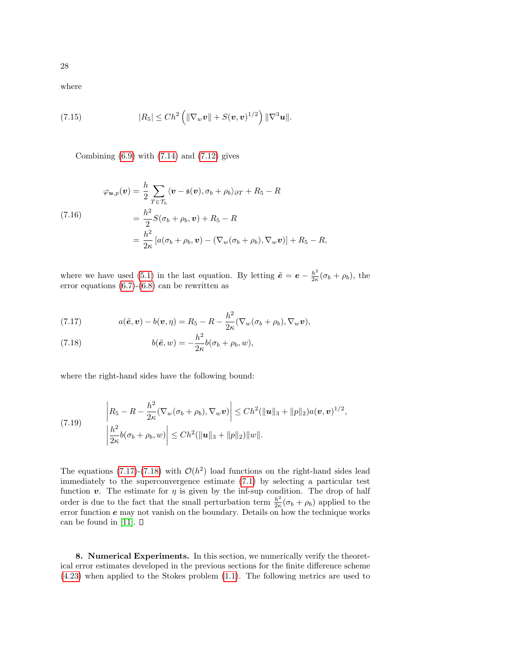where

(7.15) 
$$
|R_5| \leq Ch^2 \left( \|\nabla_w \boldsymbol{v}\| + S(\boldsymbol{v}, \boldsymbol{v})^{1/2} \right) \|\nabla^3 \boldsymbol{u}\|.
$$

Combining  $(6.9)$  with  $(7.14)$  and  $(7.12)$  gives

(7.16)  
\n
$$
\varphi_{\boldsymbol{u},p}(\boldsymbol{v}) = \frac{h}{2} \sum_{T \in \mathcal{T}_h} \langle \boldsymbol{v} - \mathfrak{s}(\boldsymbol{v}), \sigma_b + \rho_b \rangle_{\partial T} + R_5 - R
$$
\n
$$
= \frac{h^2}{2} S(\sigma_b + \rho_b, \boldsymbol{v}) + R_5 - R
$$
\n
$$
= \frac{h^2}{2\kappa} \left[ a(\sigma_b + \rho_b, \boldsymbol{v}) - (\nabla_w(\sigma_b + \rho_b), \nabla_w \boldsymbol{v}) \right] + R_5 - R,
$$

where we have used [\(5.1\)](#page-14-2) in the last equation. By letting  $\tilde{e} = e - \frac{h^2}{2g}$  $\frac{h^2}{2\kappa}(\sigma_b + \rho_b)$ , the error equations [\(6.7\)](#page-18-2)-[\(6.8\)](#page-18-2) can be rewritten as

<span id="page-27-1"></span>(7.17) 
$$
a(\tilde{\boldsymbol{e}}, \boldsymbol{v}) - b(\boldsymbol{v}, \eta) = R_5 - R - \frac{h^2}{2\kappa} (\nabla_w (\sigma_b + \rho_b), \nabla_w \boldsymbol{v}),
$$

(7.18) 
$$
b(\tilde{e}, w) = -\frac{h^2}{2\kappa}b(\sigma_b + \rho_b, w),
$$

where the right-hand sides have the following bound:

(7.19) 
$$
\begin{aligned} \left| R_5 - R - \frac{h^2}{2\kappa} (\nabla_w (\sigma_b + \rho_b), \nabla_w \mathbf{v}) \right| &\leq Ch^2 (\|\mathbf{u}\|_3 + \|p\|_2) a(\mathbf{v}, \mathbf{v})^{1/2}, \\ \left| \frac{h^2}{2\kappa} b(\sigma_b + \rho_b, w) \right| &\leq Ch^2 (\|\mathbf{u}\|_3 + \|p\|_2) \|w\|. \end{aligned}
$$

The equations [\(7.17\)](#page-27-1)-[\(7.18\)](#page-27-1) with  $\mathcal{O}(h^2)$  load functions on the right-hand sides lead immediately to the superconvergence estimate [\(7.1\)](#page-24-4) by selecting a particular test function v. The estimate for  $\eta$  is given by the inf-sup condition. The drop of half order is due to the fact that the small perturbation term  $\frac{h^2}{2g}$  $\frac{h^2}{2\kappa}(\sigma_b + \rho_b)$  applied to the error function  $e$  may not vanish on the boundary. Details on how the technique works can be found in [\[11\]](#page-31-5).  $\square$ 

<span id="page-27-0"></span>8. Numerical Experiments. In this section, we numerically verify the theoretical error estimates developed in the previous sections for the finite difference scheme [\(4.23\)](#page-13-1) when applied to the Stokes problem [\(1.1\)](#page-0-0). The following metrics are used to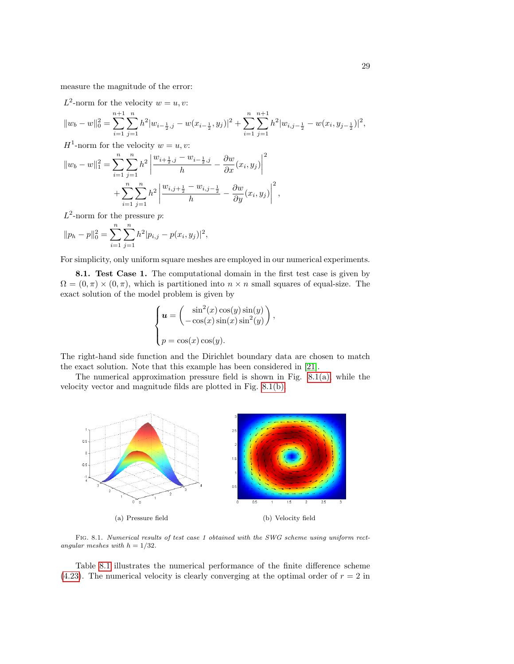measure the magnitude of the error:

 $L^2$ -norm for the velocity  $w = u, v$ :

$$
||w_b - w||_0^2 = \sum_{i=1}^{n+1} \sum_{j=1}^n h^2 |w_{i-\frac{1}{2},j} - w(x_{i-\frac{1}{2}}, y_j)|^2 + \sum_{i=1}^n \sum_{j=1}^{n+1} h^2 |w_{i,j-\frac{1}{2}} - w(x_i, y_{j-\frac{1}{2}})|^2,
$$

 $H^1$ -norm for the velocity  $w = u, v$ :

$$
||w_b - w||_1^2 = \sum_{i=1}^n \sum_{j=1}^n h^2 \left| \frac{w_{i+\frac{1}{2},j} - w_{i-\frac{1}{2},j}}{h} - \frac{\partial w}{\partial x}(x_i, y_j) \right|^2
$$
  
+ 
$$
\sum_{i=1}^n \sum_{j=1}^n h^2 \left| \frac{w_{i,j+\frac{1}{2}} - w_{i,j-\frac{1}{2}}}{h} - \frac{\partial w}{\partial y}(x_i, y_j) \right|^2,
$$

 $L^2$ -norm for the pressure p:

$$
||p_h - p||_0^2 = \sum_{i=1}^n \sum_{j=1}^n h^2 |p_{i,j} - p(x_i, y_j)|^2,
$$

For simplicity, only uniform square meshes are employed in our numerical experiments.

8.1. Test Case 1. The computational domain in the first test case is given by  $\Omega = (0, \pi) \times (0, \pi)$ , which is partitioned into  $n \times n$  small squares of equal-size. The exact solution of the model problem is given by

$$
\begin{cases}\n\boldsymbol{u} = \begin{pmatrix}\n\sin^2(x)\cos(y)\sin(y) \\
-\cos(x)\sin(x)\sin^2(y)\n\end{pmatrix} \\
p = \cos(x)\cos(y).\n\end{cases}
$$

,

The right-hand side function and the Dirichlet boundary data are chosen to match the exact solution. Note that this example has been considered in [\[21\]](#page-31-4).

The numerical approximation pressure field is shown in Fig.  $8.1(a)$ , while the velocity vector and magnitude filds are plotted in Fig. [8.1\(b\).](#page-28-1)

<span id="page-28-0"></span>

<span id="page-28-1"></span>Fig. 8.1. Numerical results of test case 1 obtained with the SWG scheme using uniform rectangular meshes with  $h = 1/32$ .

Table [8.1](#page-29-0) illustrates the numerical performance of the finite difference scheme [\(4.23\)](#page-13-1). The numerical velocity is clearly converging at the optimal order of  $r = 2$  in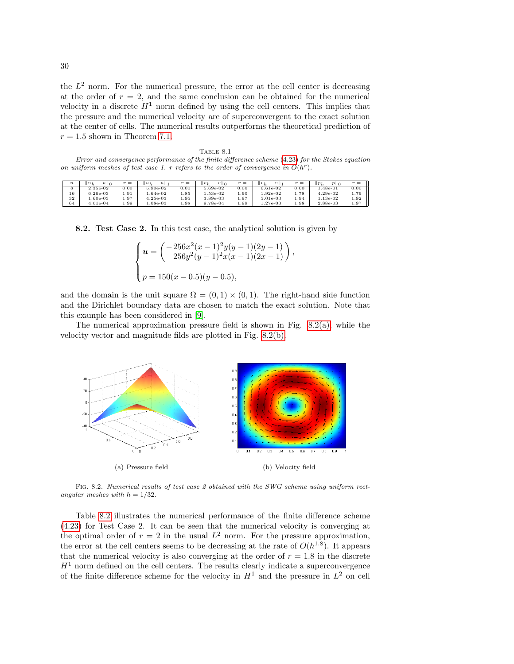the  $L^2$  norm. For the numerical pressure, the error at the cell center is decreasing at the order of  $r = 2$ , and the same conclusion can be obtained for the numerical velocity in a discrete  $H<sup>1</sup>$  norm defined by using the cell centers. This implies that the pressure and the numerical velocity are of superconvergent to the exact solution at the center of cells. The numerical results outperforms the theoretical prediction of  $r = 1.5$  shown in Theorem [7.1.](#page-24-5)

<span id="page-29-0"></span>Table 8.1 Error and convergence performance of the finite difference scheme [\(4.23\)](#page-13-1) for the Stokes equation on uniform meshes of test case 1. r refers to the order of convergence in  $O(h^r)$ .

| $\boldsymbol{n}$ | $\overline{\phantom{0}}$<br>$u \parallel 0$<br>$ u_h$ | $r =$ | $u_h$<br>$\ u\ $ | $r =$ | $\ v_{k}\ $<br>$v\ _{0}$<br>- | $r =$     | $\overline{\phantom{0}}$<br>$\upsilon$<br>$  v_h$ | $r =$ | $=$ $p\parallel_0$<br>$\mathbb{I} p_h$ | $r =$ |
|------------------|-------------------------------------------------------|-------|------------------|-------|-------------------------------|-----------|---------------------------------------------------|-------|----------------------------------------|-------|
|                  | 2.35e-02                                              | 0.00  | 5.90e-02         | D.OO  | 5.69e-02                      | $_{0.00}$ | $6.61e-02$                                        | 0.00  | $4.48e-01$                             | 0.00  |
| 16               | $6.26e-03$                                            | 1.91  | $.64e-02$        | 1.85  | 1.53e-02                      | 1.90      | $1.92e-02$                                        | 1.78  | $4.29e-02$                             | 1.79  |
| 32               | 1.60e-03                                              | 1.97  | $4.25e-03$       | 1.95  | 3.89e-03                      | 1.97      | 5.01e-03                                          | 1.94  | $1.13e-02$                             | 1.92  |
| 64               | $4.01e-04$                                            | 1.99  | $.08e-03$        | 1.98  | 9.78e-04                      | 1.99      | $1.27e-03$                                        | 1.98  | 2.88e-03                               | 1.97  |

8.2. Test Case 2. In this test case, the analytical solution is given by

$$
\begin{cases}\n\mathbf{u} = \left(\frac{-256x^2(x-1)^2y(y-1)(2y-1)}{256y^2(y-1)^2x(x-1)(2x-1)}\right) \\
p = 150(x-0.5)(y-0.5),\n\end{cases}
$$

,

and the domain is the unit square  $\Omega = (0,1) \times (0,1)$ . The right-hand side function and the Dirichlet boundary data are chosen to match the exact solution. Note that this example has been considered in [\[9\]](#page-31-19).

The numerical approximation pressure field is shown in Fig.  $8.2(a)$ , while the velocity vector and magnitude filds are plotted in Fig. [8.2\(b\).](#page-9-4)



Fig. 8.2. Numerical results of test case 2 obtained with the SWG scheme using uniform rectangular meshes with  $h = 1/32$ .

Table [8.2](#page-30-0) illustrates the numerical performance of the finite difference scheme [\(4.23\)](#page-13-1) for Test Case 2. It can be seen that the numerical velocity is converging at the optimal order of  $r = 2$  in the usual  $L^2$  norm. For the pressure approximation, the error at the cell centers seems to be decreasing at the rate of  $O(h^{1.8})$ . It appears that the numerical velocity is also converging at the order of  $r = 1.8$  in the discrete  $H<sup>1</sup>$  norm defined on the cell centers. The results clearly indicate a superconvergence of the finite difference scheme for the velocity in  $H<sup>1</sup>$  and the pressure in  $L<sup>2</sup>$  on cell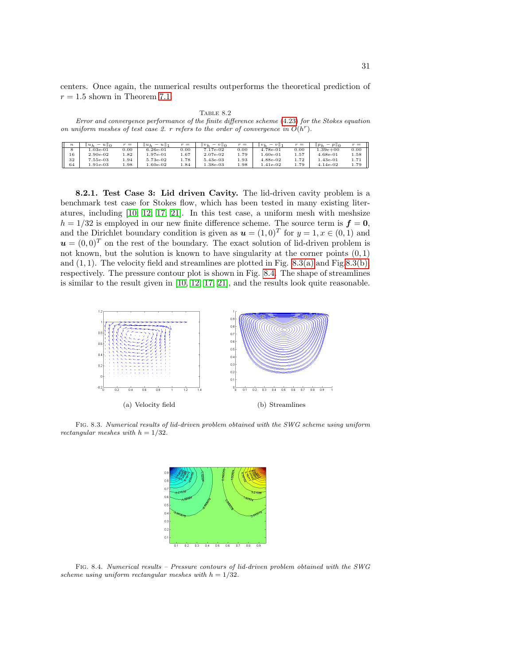centers. Once again, the numerical results outperforms the theoretical prediction of  $r = 1.5$  shown in Theorem [7.1.](#page-24-5)

Table 8.2

<span id="page-30-0"></span>Error and convergence performance of the finite difference scheme [\(4.23\)](#page-13-1) for the Stokes equation on uniform meshes of test case 2. r refers to the order of convergence in  $O(h<sup>r</sup>)$ .

| $\boldsymbol{n}$ | $u \parallel 0$<br>$u_h$<br>$\overline{\phantom{a}}$ | $r =$  | $u_h$<br>$\boldsymbol{u}$ | $r =$ | $v_h$<br>-<br>$v\ _{0}$ | $r =$ | $-v$   <br>$  v_h$ | $r =$ | $  p_h$<br>$\overline{\phantom{a}}$<br>$P \parallel 0$ | $r =$ |
|------------------|------------------------------------------------------|--------|---------------------------|-------|-------------------------|-------|--------------------|-------|--------------------------------------------------------|-------|
|                  | $.03e-01$                                            | 0.00   | $6.26e-01$                | D.OO  | 7.17e-02                | 0.00  | 4.78e-01           | 0.00  | $1.39e + 00$                                           | 0.00  |
| 16               | 2.90e-02                                             | . . 82 | $.97e-01$                 | 1.67  | 2.07e-02                | 1.79  | $.60e-01$          | 1.57  | $4.68e-01$                                             | 1.58  |
| 32               | 7.55e-03                                             | .94    | 5.73e-02                  | 1.78  | 5.43e-03                | 1.93  | 4.88e-02           | 1.72  | $0.43e-01$                                             | 1.71  |
| 64               | $.91e-03$                                            | 1.98   | $.60e-02$                 | 1.84  | $38e-03$                | 1.98  | $1.41$ e-0 $2$     | 1.79  | $4.14e-02$                                             | 1.79  |

8.2.1. Test Case 3: Lid driven Cavity. The lid-driven cavity problem is a benchmark test case for Stokes flow, which has been tested in many existing literatures, including [\[10,](#page-31-8) [12,](#page-31-20) [17,](#page-31-21) [21\]](#page-31-4). In this test case, a uniform mesh with meshsize  $h = 1/32$  is employed in our new finite difference scheme. The source term is  $f = 0$ , and the Dirichlet boundary condition is given as  $u = (1,0)^T$  for  $y = 1, x \in (0,1)$  and  $u = (0, 0)^T$  on the rest of the boundary. The exact solution of lid-driven problem is not known, but the solution is known to have singularity at the corner points  $(0, 1)$ and  $(1, 1)$ . The velocity field and streamlines are plotted in Fig. [8.3\(a\)](#page-12-0) and Fig[.8.3\(b\),](#page-12-3) respectively. The pressure contour plot is shown in Fig. [8.4.](#page-14-1) The shape of streamlines is similar to the result given in [\[10,](#page-31-8) [12,](#page-31-20) [17,](#page-31-21) [21\]](#page-31-4), and the results look quite reasonable.



Fig. 8.3. Numerical results of lid-driven problem obtained with the SWG scheme using uniform rectangular meshes with  $h = 1/32$ .



Fig. 8.4. Numerical results – Pressure contours of lid-driven problem obtained with the SWG scheme using uniform rectangular meshes with  $h = 1/32$ .